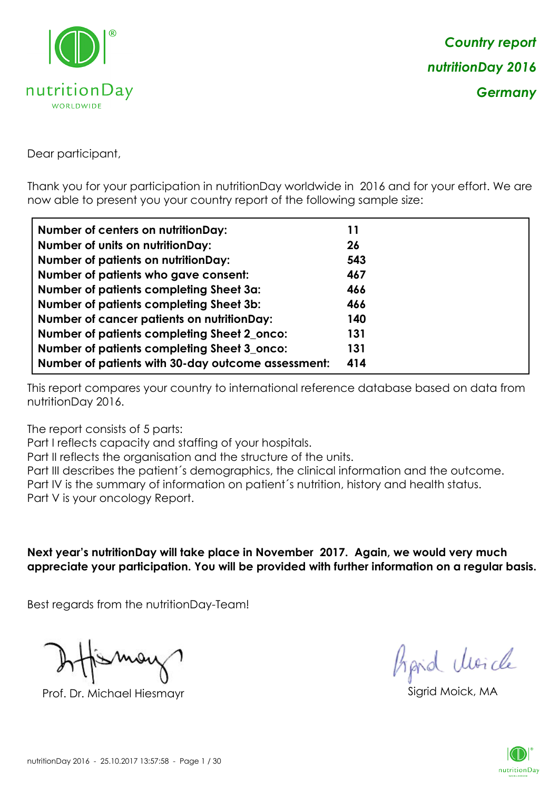

Dear participant,

Thank you for your participation in nutritionDay worldwide in 2016 and for your effort. We are now able to present you your country report of the following sample size:

| <b>Number of centers on nutritionDay:</b>          | 11  |
|----------------------------------------------------|-----|
| <b>Number of units on nutritionDay:</b>            | 26  |
| <b>Number of patients on nutritionDay:</b>         | 543 |
| Number of patients who gave consent:               | 467 |
| Number of patients completing Sheet 3a:            | 466 |
| <b>Number of patients completing Sheet 3b:</b>     | 466 |
| <b>Number of cancer patients on nutritionDay:</b>  | 140 |
| Number of patients completing Sheet 2_onco:        | 131 |
| Number of patients completing Sheet 3_onco:        | 131 |
| Number of patients with 30-day outcome assessment: | 414 |

This report compares your country to international reference database based on data from nutritionDay 2016.

The report consists of 5 parts:

Part I reflects capacity and staffing of your hospitals.

Part II reflects the organisation and the structure of the units.

Part III describes the patient´s demographics, the clinical information and the outcome.

Part IV is the summary of information on patient´s nutrition, history and health status.

Part V is your oncology Report.

**Next year's nutritionDay will take place in November 2017. Again, we would very much appreciate your participation. You will be provided with further information on a regular basis.**

Best regards from the nutritionDay-Team!

Prof. Dr. Michael Hiesmayr Sigrid Moick, M

*Prpid cleacle* 

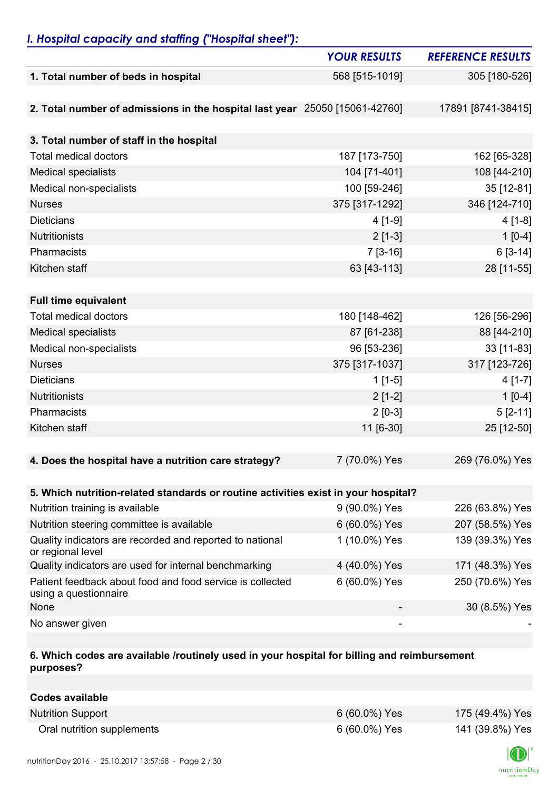## *I. Hospital capacity and staffing ("Hospital sheet"):*

|                                                                                    | <b>YOUR RESULTS</b> | <b>REFERENCE RESULTS</b> |
|------------------------------------------------------------------------------------|---------------------|--------------------------|
| 1. Total number of beds in hospital                                                | 568 [515-1019]      | 305 [180-526]            |
|                                                                                    |                     |                          |
| 2. Total number of admissions in the hospital last year 25050 [15061-42760]        |                     | 17891 [8741-38415]       |
|                                                                                    |                     |                          |
| 3. Total number of staff in the hospital                                           |                     |                          |
| <b>Total medical doctors</b>                                                       | 187 [173-750]       | 162 [65-328]             |
| <b>Medical specialists</b>                                                         | 104 [71-401]        | 108 [44-210]             |
| Medical non-specialists                                                            | 100 [59-246]        | 35 [12-81]               |
| <b>Nurses</b>                                                                      | 375 [317-1292]      | 346 [124-710]            |
| <b>Dieticians</b>                                                                  | 4 [1-9]             | $4[1-8]$                 |
| <b>Nutritionists</b>                                                               | $2[1-3]$            | $1[0-4]$                 |
| Pharmacists                                                                        | $7[3-16]$           | $6[3-14]$                |
| Kitchen staff                                                                      | 63 [43-113]         | 28 [11-55]               |
|                                                                                    |                     |                          |
| <b>Full time equivalent</b>                                                        |                     |                          |
| <b>Total medical doctors</b>                                                       | 180 [148-462]       | 126 [56-296]             |
| <b>Medical specialists</b>                                                         | 87 [61-238]         | 88 [44-210]              |
| Medical non-specialists                                                            | 96 [53-236]         | 33 [11-83]               |
| <b>Nurses</b>                                                                      | 375 [317-1037]      | 317 [123-726]            |
| <b>Dieticians</b>                                                                  | $1[1-5]$            | $4[1-7]$                 |
| <b>Nutritionists</b>                                                               | $2[1-2]$            | $1[0-4]$                 |
| Pharmacists                                                                        | $2[0-3]$            | $5[2-11]$                |
| Kitchen staff                                                                      | 11 [6-30]           | 25 [12-50]               |
|                                                                                    |                     |                          |
| 4. Does the hospital have a nutrition care strategy?                               | 7 (70.0%) Yes       | 269 (76.0%) Yes          |
|                                                                                    |                     |                          |
| 5. Which nutrition-related standards or routine activities exist in your hospital? |                     |                          |
| Nutrition training is available                                                    | 9 (90.0%) Yes       | 226 (63.8%) Yes          |
| Nutrition steering committee is available                                          | 6 (60.0%) Yes       | 207 (58.5%) Yes          |
| Quality indicators are recorded and reported to national<br>or regional level      | 1 (10.0%) Yes       | 139 (39.3%) Yes          |
| Quality indicators are used for internal benchmarking                              | 4 (40.0%) Yes       | 171 (48.3%) Yes          |
| Patient feedback about food and food service is collected<br>using a questionnaire | 6 (60.0%) Yes       | 250 (70.6%) Yes          |
| None                                                                               |                     | 30 (8.5%) Yes            |
| No answer given                                                                    |                     |                          |

### **6. Which codes are available /routinely used in your hospital for billing and reimbursement purposes?**

| Codes available            |               |                 |
|----------------------------|---------------|-----------------|
| <b>Nutrition Support</b>   | 6 (60.0%) Yes | 175 (49.4%) Yes |
| Oral nutrition supplements | 6 (60.0%) Yes | 141 (39.8%) Yes |

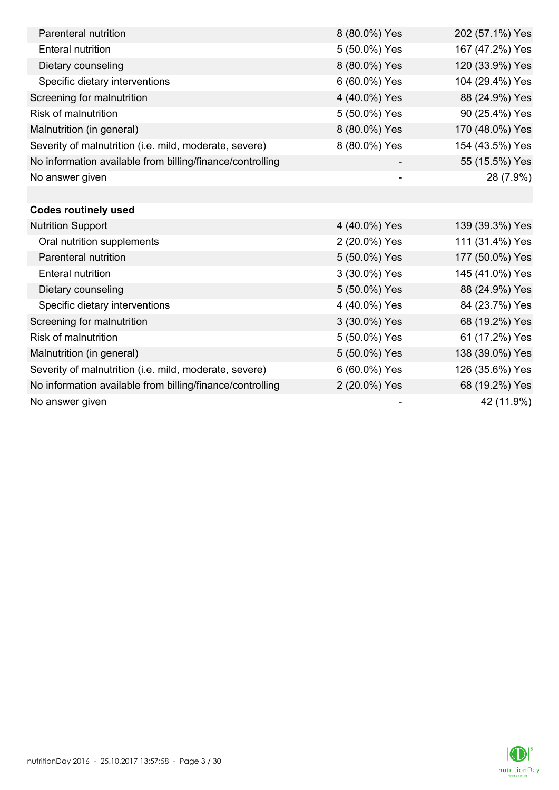| Parenteral nutrition                                      | 8 (80.0%) Yes            | 202 (57.1%) Yes |
|-----------------------------------------------------------|--------------------------|-----------------|
| <b>Enteral nutrition</b>                                  | 5 (50.0%) Yes            | 167 (47.2%) Yes |
| Dietary counseling                                        | 8 (80.0%) Yes            | 120 (33.9%) Yes |
| Specific dietary interventions                            | 6 (60.0%) Yes            | 104 (29.4%) Yes |
| Screening for malnutrition                                | 4 (40.0%) Yes            | 88 (24.9%) Yes  |
| <b>Risk of malnutrition</b>                               | 5 (50.0%) Yes            | 90 (25.4%) Yes  |
| Malnutrition (in general)                                 | 8 (80.0%) Yes            | 170 (48.0%) Yes |
| Severity of malnutrition (i.e. mild, moderate, severe)    | 8 (80.0%) Yes            | 154 (43.5%) Yes |
| No information available from billing/finance/controlling |                          | 55 (15.5%) Yes  |
| No answer given                                           | $\overline{\phantom{a}}$ | 28 (7.9%)       |
|                                                           |                          |                 |
| <b>Codes routinely used</b>                               |                          |                 |
| <b>Nutrition Support</b>                                  | 4 (40.0%) Yes            | 139 (39.3%) Yes |
| Oral nutrition supplements                                | 2 (20.0%) Yes            | 111 (31.4%) Yes |
| Parenteral nutrition                                      | 5 (50.0%) Yes            | 177 (50.0%) Yes |
| <b>Enteral nutrition</b>                                  | 3 (30.0%) Yes            | 145 (41.0%) Yes |
| Dietary counseling                                        | 5 (50.0%) Yes            | 88 (24.9%) Yes  |
| Specific dietary interventions                            | 4 (40.0%) Yes            | 84 (23.7%) Yes  |
| Screening for malnutrition                                | 3 (30.0%) Yes            | 68 (19.2%) Yes  |
| <b>Risk of malnutrition</b>                               | 5 (50.0%) Yes            | 61 (17.2%) Yes  |
| Malnutrition (in general)                                 | 5 (50.0%) Yes            | 138 (39.0%) Yes |
| Severity of malnutrition (i.e. mild, moderate, severe)    | 6 (60.0%) Yes            | 126 (35.6%) Yes |
| No information available from billing/finance/controlling | 2 (20.0%) Yes            | 68 (19.2%) Yes  |
| No answer given                                           |                          | 42 (11.9%)      |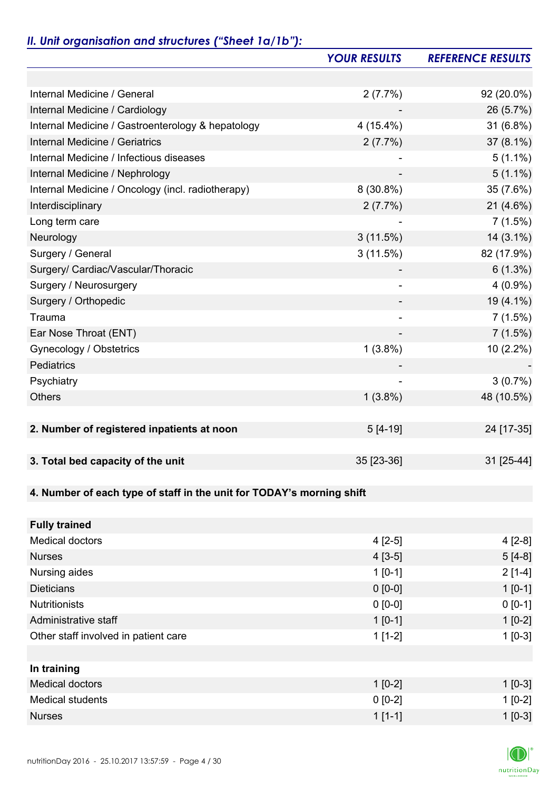# *II. Unit organisation and structures ("Sheet 1a/1b"):*

|                                                                       | <b>YOUR RESULTS</b> | <b>REFERENCE RESULTS</b> |
|-----------------------------------------------------------------------|---------------------|--------------------------|
|                                                                       |                     |                          |
| Internal Medicine / General                                           | 2(7.7%)             | 92 (20.0%)               |
| Internal Medicine / Cardiology                                        |                     | 26 (5.7%)                |
| Internal Medicine / Gastroenterology & hepatology                     | $4(15.4\%)$         | 31 (6.8%)                |
| Internal Medicine / Geriatrics                                        | 2(7.7%)             | 37 (8.1%)                |
| Internal Medicine / Infectious diseases                               |                     | $5(1.1\%)$               |
| Internal Medicine / Nephrology                                        |                     | $5(1.1\%)$               |
| Internal Medicine / Oncology (incl. radiotherapy)                     | $8(30.8\%)$         | 35 (7.6%)                |
| Interdisciplinary                                                     | 2(7.7%)             | $21(4.6\%)$              |
| Long term care                                                        |                     | 7(1.5%)                  |
| Neurology                                                             | 3(11.5%)            | $14(3.1\%)$              |
| Surgery / General                                                     | 3(11.5%)            | 82 (17.9%)               |
| Surgery/ Cardiac/Vascular/Thoracic                                    |                     | $6(1.3\%)$               |
| Surgery / Neurosurgery                                                | $\overline{a}$      | $4(0.9\%)$               |
| Surgery / Orthopedic                                                  |                     | 19 (4.1%)                |
| Trauma                                                                |                     | 7(1.5%)                  |
| Ear Nose Throat (ENT)                                                 |                     | 7(1.5%)                  |
| Gynecology / Obstetrics                                               | $1(3.8\%)$          | $10(2.2\%)$              |
| Pediatrics                                                            |                     |                          |
| Psychiatry                                                            |                     | 3(0.7%)                  |
| <b>Others</b>                                                         | $1(3.8\%)$          | 48 (10.5%)               |
|                                                                       |                     |                          |
| 2. Number of registered inpatients at noon                            | $5[4-19]$           | 24 [17-35]               |
|                                                                       |                     |                          |
| 3. Total bed capacity of the unit                                     | 35 [23-36]          | 31 [25-44]               |
|                                                                       |                     |                          |
| 4. Number of each type of staff in the unit for TODAY's morning shift |                     |                          |
|                                                                       |                     |                          |
| <b>Fully trained</b>                                                  |                     |                          |
| <b>Medical doctors</b>                                                | $4[2-5]$            | $4[2-8]$                 |
| <b>Nurses</b>                                                         | $4[3-5]$            | $5[4-8]$                 |
| Nursing aides                                                         | $1[0-1]$            | $2[1-4]$                 |
| <b>Dieticians</b>                                                     | $0 [0-0]$           | $1 [0-1]$                |
| <b>Nutritionists</b>                                                  | $0 [0-0]$           | $0 [0-1]$                |
| Administrative staff                                                  | $1[0-1]$            | $1[0-2]$                 |
| Other staff involved in patient care                                  | $1[1-2]$            | $1[0-3]$                 |
|                                                                       |                     |                          |
| In training                                                           |                     |                          |
| <b>Medical doctors</b>                                                | $1[0-2]$            | $1 [0-3]$                |
| <b>Medical students</b>                                               | $0 [0-2]$           | $1[0-2]$                 |
| <b>Nurses</b>                                                         | $1[1-1]$            | $1 [0-3]$                |

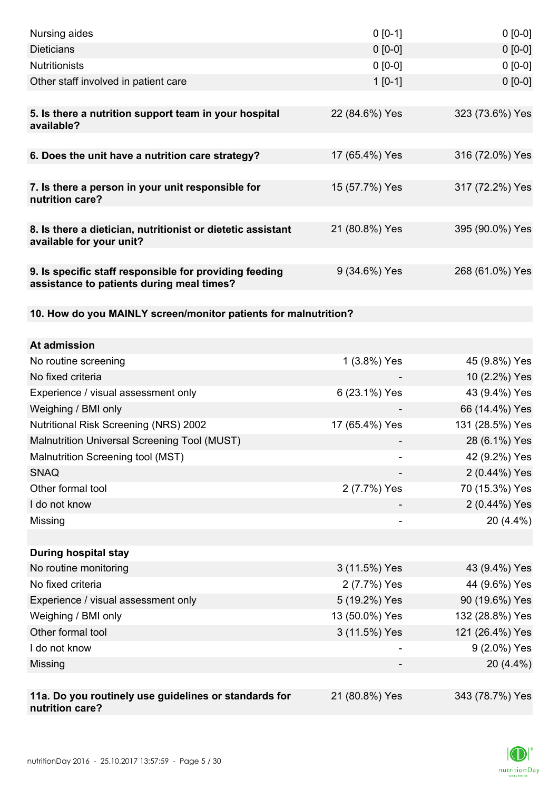| Nursing aides                                                                                       | $0 [0-1]$      | $0$ [0-0]       |
|-----------------------------------------------------------------------------------------------------|----------------|-----------------|
| <b>Dieticians</b>                                                                                   | $0 [0-0]$      | $0[0-0]$        |
| <b>Nutritionists</b>                                                                                | $0 [0-0]$      | $0 [0-0]$       |
| Other staff involved in patient care                                                                | $1[0-1]$       | $0 [0-0]$       |
|                                                                                                     |                |                 |
| 5. Is there a nutrition support team in your hospital<br>available?                                 | 22 (84.6%) Yes | 323 (73.6%) Yes |
| 6. Does the unit have a nutrition care strategy?                                                    | 17 (65.4%) Yes | 316 (72.0%) Yes |
| 7. Is there a person in your unit responsible for<br>nutrition care?                                | 15 (57.7%) Yes | 317 (72.2%) Yes |
|                                                                                                     |                |                 |
| 8. Is there a dietician, nutritionist or dietetic assistant<br>available for your unit?             | 21 (80.8%) Yes | 395 (90.0%) Yes |
| 9. Is specific staff responsible for providing feeding<br>assistance to patients during meal times? | 9 (34.6%) Yes  | 268 (61.0%) Yes |
| 10. How do you MAINLY screen/monitor patients for malnutrition?                                     |                |                 |
|                                                                                                     |                |                 |
| At admission                                                                                        |                |                 |
| No routine screening                                                                                | 1 (3.8%) Yes   | 45 (9.8%) Yes   |
| No fixed criteria                                                                                   |                | 10 (2.2%) Yes   |
| Experience / visual assessment only                                                                 | 6 (23.1%) Yes  | 43 (9.4%) Yes   |
| Weighing / BMI only                                                                                 |                | 66 (14.4%) Yes  |
| <b>Nutritional Risk Screening (NRS) 2002</b>                                                        | 17 (65.4%) Yes | 131 (28.5%) Yes |
| Malnutrition Universal Screening Tool (MUST)                                                        |                | 28 (6.1%) Yes   |
| Malnutrition Screening tool (MST)                                                                   |                | 42 (9.2%) Yes   |
| <b>SNAQ</b>                                                                                         |                | 2 (0.44%) Yes   |
| Other formal tool                                                                                   | 2 (7.7%) Yes   | 70 (15.3%) Yes  |
| I do not know                                                                                       |                | 2 (0.44%) Yes   |
| Missing                                                                                             |                | 20 (4.4%)       |
|                                                                                                     |                |                 |
| <b>During hospital stay</b>                                                                         |                |                 |
| No routine monitoring                                                                               | 3 (11.5%) Yes  | 43 (9.4%) Yes   |
| No fixed criteria                                                                                   | 2 (7.7%) Yes   | 44 (9.6%) Yes   |
| Experience / visual assessment only                                                                 | 5 (19.2%) Yes  | 90 (19.6%) Yes  |
| Weighing / BMI only                                                                                 | 13 (50.0%) Yes | 132 (28.8%) Yes |
| Other formal tool                                                                                   | 3 (11.5%) Yes  | 121 (26.4%) Yes |
| I do not know                                                                                       |                | 9 (2.0%) Yes    |
| Missing                                                                                             |                | 20 (4.4%)       |
|                                                                                                     |                |                 |
| 11a. Do you routinely use guidelines or standards for<br>nutrition care?                            | 21 (80.8%) Yes | 343 (78.7%) Yes |

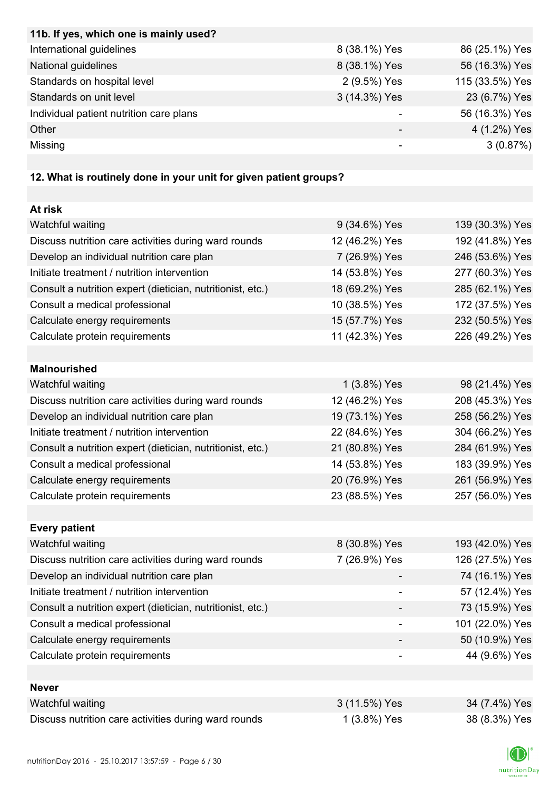| 11b. If yes, which one is mainly used?  |               |                 |
|-----------------------------------------|---------------|-----------------|
| International guidelines                | 8 (38.1%) Yes | 86 (25.1%) Yes  |
| National guidelines                     | 8 (38.1%) Yes | 56 (16.3%) Yes  |
| Standards on hospital level             | 2 (9.5%) Yes  | 115 (33.5%) Yes |
| Standards on unit level                 | 3 (14.3%) Yes | 23 (6.7%) Yes   |
| Individual patient nutrition care plans |               | 56 (16.3%) Yes  |
| Other                                   |               | 4 (1.2%) Yes    |
| Missing                                 |               | 3(0.87%)        |

## **12. What is routinely done in your unit for given patient groups?**

| At risk                                                    |                |                 |
|------------------------------------------------------------|----------------|-----------------|
| Watchful waiting                                           | 9 (34.6%) Yes  | 139 (30.3%) Yes |
| Discuss nutrition care activities during ward rounds       | 12 (46.2%) Yes | 192 (41.8%) Yes |
| Develop an individual nutrition care plan                  | 7 (26.9%) Yes  | 246 (53.6%) Yes |
| Initiate treatment / nutrition intervention                | 14 (53.8%) Yes | 277 (60.3%) Yes |
| Consult a nutrition expert (dietician, nutritionist, etc.) | 18 (69.2%) Yes | 285 (62.1%) Yes |
| Consult a medical professional                             | 10 (38.5%) Yes | 172 (37.5%) Yes |
| Calculate energy requirements                              | 15 (57.7%) Yes | 232 (50.5%) Yes |
| Calculate protein requirements                             | 11 (42.3%) Yes | 226 (49.2%) Yes |
|                                                            |                |                 |
| <b>Malnourished</b>                                        |                |                 |
| Watchful waiting                                           | 1 (3.8%) Yes   | 98 (21.4%) Yes  |
| Discuss nutrition care activities during ward rounds       | 12 (46.2%) Yes | 208 (45.3%) Yes |
| Develop an individual nutrition care plan                  | 19 (73.1%) Yes | 258 (56.2%) Yes |
| Initiate treatment / nutrition intervention                | 22 (84.6%) Yes | 304 (66.2%) Yes |
| Consult a nutrition expert (dietician, nutritionist, etc.) | 21 (80.8%) Yes | 284 (61.9%) Yes |
| Consult a medical professional                             | 14 (53.8%) Yes | 183 (39.9%) Yes |
| Calculate energy requirements                              | 20 (76.9%) Yes | 261 (56.9%) Yes |
| Calculate protein requirements                             | 23 (88.5%) Yes | 257 (56.0%) Yes |
|                                                            |                |                 |
| <b>Every patient</b>                                       |                |                 |
| Watchful waiting                                           | 8 (30.8%) Yes  | 193 (42.0%) Yes |
| Discuss nutrition care activities during ward rounds       | 7 (26.9%) Yes  | 126 (27.5%) Yes |
| Develop an individual nutrition care plan                  |                | 74 (16.1%) Yes  |
| Initiate treatment / nutrition intervention                |                | 57 (12.4%) Yes  |
| Consult a nutrition expert (dietician, nutritionist, etc.) |                | 73 (15.9%) Yes  |
| Consult a medical professional                             |                | 101 (22.0%) Yes |
| Calculate energy requirements                              |                | 50 (10.9%) Yes  |
| Calculate protein requirements                             |                | 44 (9.6%) Yes   |
|                                                            |                |                 |
| <b>Never</b>                                               |                |                 |
| Watchful waiting                                           | 3 (11.5%) Yes  | 34 (7.4%) Yes   |
| Discuss nutrition care activities during ward rounds       | 1 (3.8%) Yes   | 38 (8.3%) Yes   |

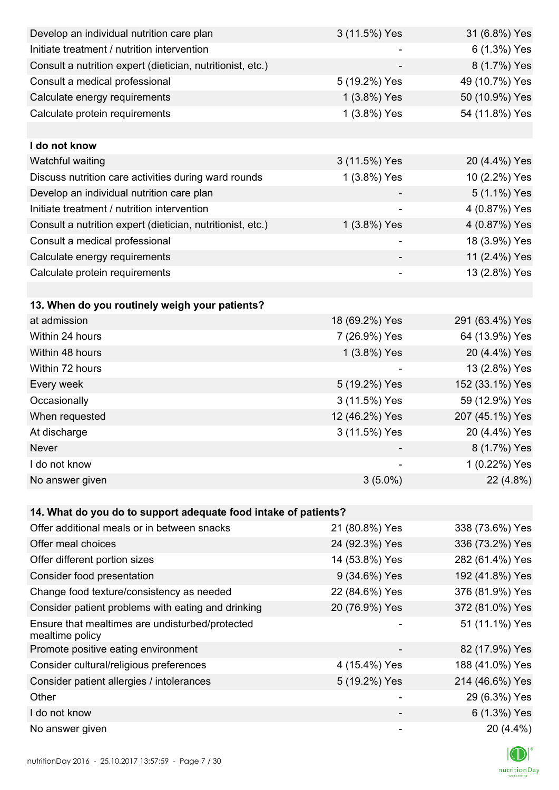| Develop an individual nutrition care plan                          | 3 (11.5%) Yes  | 31 (6.8%) Yes   |
|--------------------------------------------------------------------|----------------|-----------------|
| Initiate treatment / nutrition intervention                        |                | 6 (1.3%) Yes    |
| Consult a nutrition expert (dietician, nutritionist, etc.)         |                | 8 (1.7%) Yes    |
| Consult a medical professional                                     | 5 (19.2%) Yes  | 49 (10.7%) Yes  |
| Calculate energy requirements                                      | 1 (3.8%) Yes   | 50 (10.9%) Yes  |
| Calculate protein requirements                                     | 1 (3.8%) Yes   | 54 (11.8%) Yes  |
|                                                                    |                |                 |
| I do not know                                                      |                |                 |
| Watchful waiting                                                   | 3 (11.5%) Yes  | 20 (4.4%) Yes   |
| Discuss nutrition care activities during ward rounds               | 1 (3.8%) Yes   | 10 (2.2%) Yes   |
| Develop an individual nutrition care plan                          |                | 5 (1.1%) Yes    |
| Initiate treatment / nutrition intervention                        |                | 4 (0.87%) Yes   |
| Consult a nutrition expert (dietician, nutritionist, etc.)         | 1 (3.8%) Yes   | 4 (0.87%) Yes   |
| Consult a medical professional                                     |                | 18 (3.9%) Yes   |
| Calculate energy requirements                                      |                | 11 (2.4%) Yes   |
| Calculate protein requirements                                     |                | 13 (2.8%) Yes   |
|                                                                    |                |                 |
| 13. When do you routinely weigh your patients?                     |                |                 |
| at admission                                                       | 18 (69.2%) Yes | 291 (63.4%) Yes |
| Within 24 hours                                                    | 7 (26.9%) Yes  | 64 (13.9%) Yes  |
| Within 48 hours                                                    | 1 (3.8%) Yes   | 20 (4.4%) Yes   |
| Within 72 hours                                                    |                | 13 (2.8%) Yes   |
| Every week                                                         | 5 (19.2%) Yes  | 152 (33.1%) Yes |
| Occasionally                                                       | 3 (11.5%) Yes  | 59 (12.9%) Yes  |
| When requested                                                     | 12 (46.2%) Yes | 207 (45.1%) Yes |
| At discharge                                                       | 3 (11.5%) Yes  | 20 (4.4%) Yes   |
| Never                                                              |                | 8 (1.7%) Yes    |
| I do not know                                                      |                | 1 (0.22%) Yes   |
| No answer given                                                    | $3(5.0\%)$     | 22 (4.8%)       |
|                                                                    |                |                 |
| 14. What do you do to support adequate food intake of patients?    |                |                 |
| Offer additional meals or in between snacks                        | 21 (80.8%) Yes | 338 (73.6%) Yes |
| Offer meal choices                                                 | 24 (92.3%) Yes | 336 (73.2%) Yes |
| Offer different portion sizes                                      | 14 (53.8%) Yes | 282 (61.4%) Yes |
| Consider food presentation                                         | 9 (34.6%) Yes  | 192 (41.8%) Yes |
| Change food texture/consistency as needed                          | 22 (84.6%) Yes | 376 (81.9%) Yes |
| Consider patient problems with eating and drinking                 | 20 (76.9%) Yes | 372 (81.0%) Yes |
| Ensure that mealtimes are undisturbed/protected<br>mealtime policy |                | 51 (11.1%) Yes  |
| Promote positive eating environment                                |                | 82 (17.9%) Yes  |
| Consider cultural/religious preferences                            | 4 (15.4%) Yes  | 188 (41.0%) Yes |
| Consider patient allergies / intolerances                          | 5 (19.2%) Yes  | 214 (46.6%) Yes |
| Other                                                              |                | 29 (6.3%) Yes   |
| I do not know                                                      |                | 6 (1.3%) Yes    |
| No answer given                                                    |                | 20 (4.4%)       |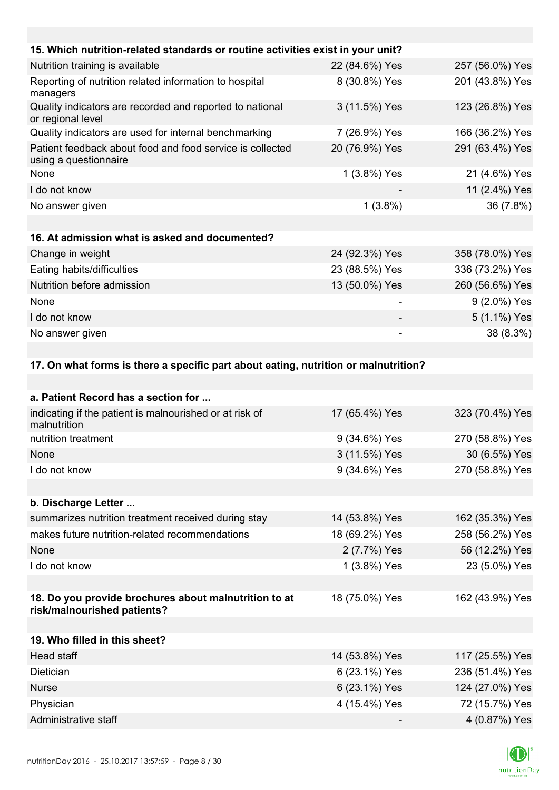| 15. Which nutrition-related standards or routine activities exist in your unit?    |                |                 |
|------------------------------------------------------------------------------------|----------------|-----------------|
| Nutrition training is available                                                    | 22 (84.6%) Yes | 257 (56.0%) Yes |
| Reporting of nutrition related information to hospital<br>managers                 | 8 (30.8%) Yes  | 201 (43.8%) Yes |
| Quality indicators are recorded and reported to national<br>or regional level      | 3 (11.5%) Yes  | 123 (26.8%) Yes |
| Quality indicators are used for internal benchmarking                              | 7 (26.9%) Yes  | 166 (36.2%) Yes |
| Patient feedback about food and food service is collected<br>using a questionnaire | 20 (76.9%) Yes | 291 (63.4%) Yes |
| None                                                                               | 1 (3.8%) Yes   | 21 (4.6%) Yes   |
| I do not know                                                                      | -              | 11 (2.4%) Yes   |
| No answer given                                                                    | $1(3.8\%)$     | 36 (7.8%)       |
|                                                                                    |                |                 |
| 16. At admission what is asked and documented?                                     |                |                 |
| Change in weight                                                                   | 24 (92.3%) Yes | 358 (78.0%) Yes |
| Eating habits/difficulties                                                         | 23 (88.5%) Yes | 336 (73.2%) Yes |
| Nutrition before admission                                                         | 13 (50.0%) Yes | 260 (56.6%) Yes |
| None                                                                               |                | 9 (2.0%) Yes    |
| I do not know                                                                      |                | 5 (1.1%) Yes    |
| No answer given                                                                    |                | 38 (8.3%)       |
|                                                                                    |                |                 |

## **17. On what forms is there a specific part about eating, nutrition or malnutrition?**

| 17 (65.4%) Yes | 323 (70.4%) Yes |
|----------------|-----------------|
| 9 (34.6%) Yes  | 270 (58.8%) Yes |
| 3 (11.5%) Yes  | 30 (6.5%) Yes   |
| 9 (34.6%) Yes  | 270 (58.8%) Yes |
|                |                 |
|                |                 |
| 14 (53.8%) Yes | 162 (35.3%) Yes |
| 18 (69.2%) Yes | 258 (56.2%) Yes |
| 2 (7.7%) Yes   | 56 (12.2%) Yes  |
| 1 (3.8%) Yes   | 23 (5.0%) Yes   |
|                |                 |
| 18 (75.0%) Yes | 162 (43.9%) Yes |
|                |                 |
|                |                 |
| 14 (53.8%) Yes | 117 (25.5%) Yes |
| 6 (23.1%) Yes  | 236 (51.4%) Yes |
| 6 (23.1%) Yes  | 124 (27.0%) Yes |
| 4 (15.4%) Yes  | 72 (15.7%) Yes  |
|                | 4 (0.87%) Yes   |
|                |                 |

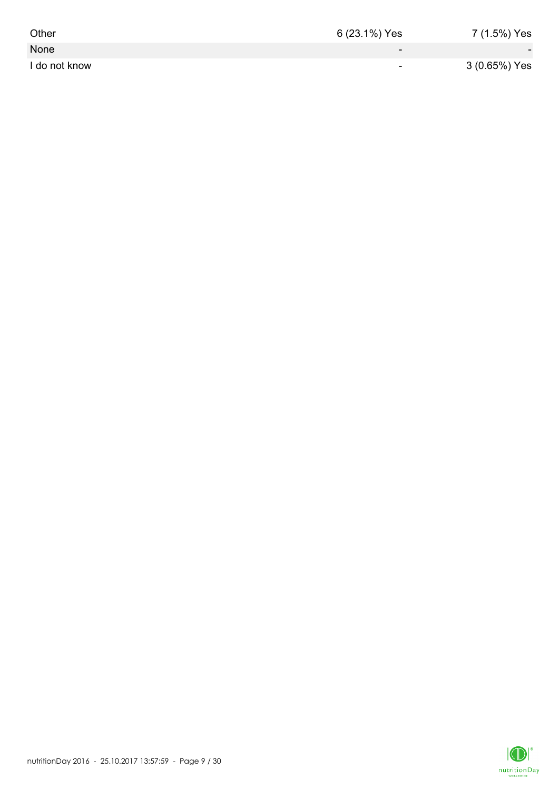| Other         | 6 (23.1%) Yes            | 7 (1.5%) Yes             |
|---------------|--------------------------|--------------------------|
| None          | $\overline{\phantom{0}}$ | $\overline{\phantom{a}}$ |
| I do not know | $\sim$                   | 3 (0.65%) Yes            |

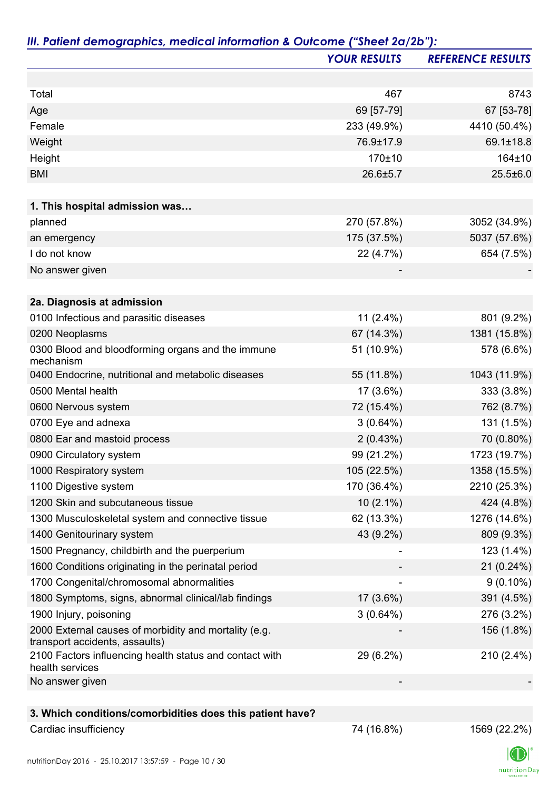|                                                                                         | <b>YOUR RESULTS</b> | <b>REFERENCE RESULTS</b> |
|-----------------------------------------------------------------------------------------|---------------------|--------------------------|
|                                                                                         |                     |                          |
| Total                                                                                   | 467                 | 8743                     |
| Age                                                                                     | 69 [57-79]          | 67 [53-78]               |
| Female                                                                                  | 233 (49.9%)         | 4410 (50.4%)             |
| Weight                                                                                  | 76.9±17.9           | 69.1±18.8                |
| Height                                                                                  | 170±10              | 164±10                   |
| <b>BMI</b>                                                                              | 26.6±5.7            | $25.5 \pm 6.0$           |
| 1. This hospital admission was                                                          |                     |                          |
| planned                                                                                 | 270 (57.8%)         | 3052 (34.9%)             |
| an emergency                                                                            | 175 (37.5%)         | 5037 (57.6%)             |
| I do not know                                                                           | 22 (4.7%)           | 654 (7.5%)               |
| No answer given                                                                         |                     |                          |
|                                                                                         |                     |                          |
| 2a. Diagnosis at admission                                                              |                     |                          |
| 0100 Infectious and parasitic diseases                                                  | $11(2.4\%)$         | 801 (9.2%)               |
| 0200 Neoplasms                                                                          | 67 (14.3%)          | 1381 (15.8%)             |
| 0300 Blood and bloodforming organs and the immune<br>mechanism                          | 51 (10.9%)          | 578 (6.6%)               |
| 0400 Endocrine, nutritional and metabolic diseases                                      | 55 (11.8%)          | 1043 (11.9%)             |
| 0500 Mental health                                                                      | 17 (3.6%)           | 333 (3.8%)               |
| 0600 Nervous system                                                                     | 72 (15.4%)          | 762 (8.7%)               |
| 0700 Eye and adnexa                                                                     | $3(0.64\%)$         | 131 (1.5%)               |
| 0800 Ear and mastoid process                                                            | 2(0.43%)            | 70 (0.80%)               |
| 0900 Circulatory system                                                                 | 99 (21.2%)          | 1723 (19.7%)             |
| 1000 Respiratory system                                                                 | 105 (22.5%)         | 1358 (15.5%)             |
| 1100 Digestive system                                                                   | 170 (36.4%)         | 2210 (25.3%)             |
| 1200 Skin and subcutaneous tissue                                                       | $10(2.1\%)$         | 424 (4.8%)               |
| 1300 Musculoskeletal system and connective tissue                                       | 62 (13.3%)          | 1276 (14.6%)             |
| 1400 Genitourinary system                                                               | 43 (9.2%)           | 809 (9.3%)               |
| 1500 Pregnancy, childbirth and the puerperium                                           |                     | 123 (1.4%)               |
| 1600 Conditions originating in the perinatal period                                     |                     | 21 (0.24%)               |
| 1700 Congenital/chromosomal abnormalities                                               |                     | $9(0.10\%)$              |
| 1800 Symptoms, signs, abnormal clinical/lab findings                                    | 17 (3.6%)           | 391 (4.5%)               |
| 1900 Injury, poisoning                                                                  | $3(0.64\%)$         | 276 (3.2%)               |
| 2000 External causes of morbidity and mortality (e.g.<br>transport accidents, assaults) |                     | 156 (1.8%)               |
| 2100 Factors influencing health status and contact with<br>health services              | 29 (6.2%)           | 210 (2.4%)               |
| No answer given                                                                         |                     |                          |
|                                                                                         |                     |                          |
| 3. Which conditions/comorbidities does this patient have?                               |                     |                          |
| Cardiac insufficiency                                                                   | 74 (16.8%)          | 1569 (22.2%)             |

#### nutritionDay 2016 - 25.10.2017 13:57:59 - Page 10 / 30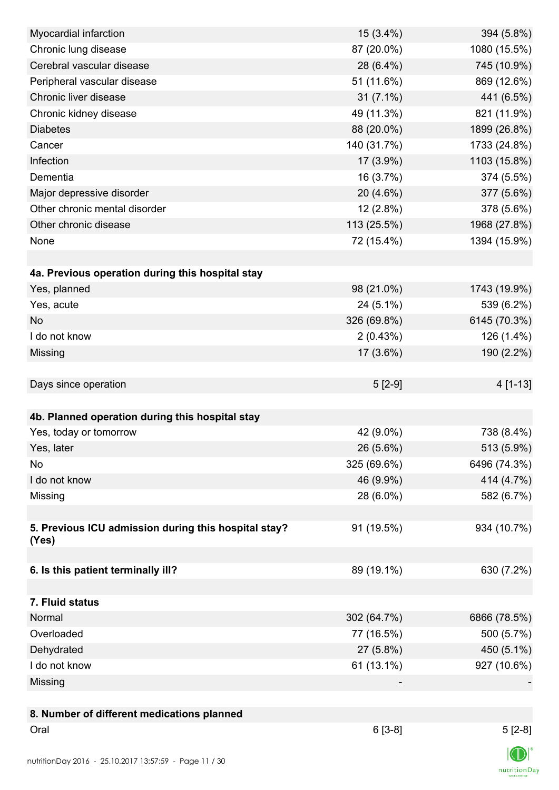| Myocardial infarction                                | 15 (3.4%)   | 394 (5.8%)     |
|------------------------------------------------------|-------------|----------------|
| Chronic lung disease                                 | 87 (20.0%)  | 1080 (15.5%)   |
| Cerebral vascular disease                            | 28 (6.4%)   | 745 (10.9%)    |
| Peripheral vascular disease                          | 51 (11.6%)  | 869 (12.6%)    |
| Chronic liver disease                                | $31(7.1\%)$ | 441 (6.5%)     |
| Chronic kidney disease                               | 49 (11.3%)  | 821 (11.9%)    |
| <b>Diabetes</b>                                      | 88 (20.0%)  | 1899 (26.8%)   |
| Cancer                                               | 140 (31.7%) | 1733 (24.8%)   |
| Infection                                            | 17 (3.9%)   | 1103 (15.8%)   |
| Dementia                                             | 16 (3.7%)   | 374 (5.5%)     |
| Major depressive disorder                            | 20 (4.6%)   | 377 (5.6%)     |
| Other chronic mental disorder                        | $12(2.8\%)$ | 378 (5.6%)     |
| Other chronic disease                                | 113 (25.5%) | 1968 (27.8%)   |
| None                                                 | 72 (15.4%)  | 1394 (15.9%)   |
|                                                      |             |                |
| 4a. Previous operation during this hospital stay     |             |                |
| Yes, planned                                         | 98 (21.0%)  | 1743 (19.9%)   |
| Yes, acute                                           | 24 (5.1%)   | 539 (6.2%)     |
| <b>No</b>                                            | 326 (69.8%) | 6145 (70.3%)   |
| I do not know                                        | 2(0.43%)    | 126 (1.4%)     |
| Missing                                              | 17 (3.6%)   | 190 (2.2%)     |
|                                                      |             |                |
| Days since operation                                 | $5[2-9]$    | 4 [1-13]       |
|                                                      |             |                |
| 4b. Planned operation during this hospital stay      |             |                |
| Yes, today or tomorrow                               | 42 (9.0%)   | 738 (8.4%)     |
| Yes, later                                           | 26 (5.6%)   | 513 (5.9%)     |
| No                                                   | 325 (69.6%) | 6496 (74.3%)   |
| I do not know                                        | 46 (9.9%)   | 414 (4.7%)     |
| Missing                                              | 28 (6.0%)   | 582 (6.7%)     |
|                                                      |             |                |
| 5. Previous ICU admission during this hospital stay? | 91 (19.5%)  | 934 (10.7%)    |
| (Yes)                                                |             |                |
|                                                      |             |                |
| 6. Is this patient terminally ill?                   | 89 (19.1%)  | 630 (7.2%)     |
| 7. Fluid status                                      |             |                |
| Normal                                               | 302 (64.7%) | 6866 (78.5%)   |
| Overloaded                                           | 77 (16.5%)  | 500 (5.7%)     |
| Dehydrated                                           | 27 (5.8%)   | 450 (5.1%)     |
| I do not know                                        | 61 (13.1%)  | 927 (10.6%)    |
| Missing                                              |             |                |
|                                                      |             |                |
| 8. Number of different medications planned           |             |                |
| Oral                                                 | $6[3-8]$    | $5[2-8]$       |
|                                                      |             |                |
|                                                      |             | $\blacksquare$ |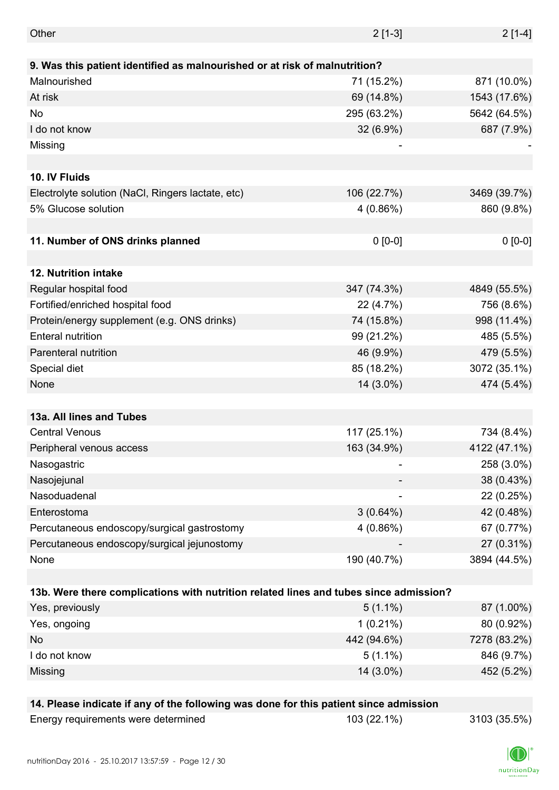| Other                                                                                 | $2[1-3]$    | $2[1-4]$     |
|---------------------------------------------------------------------------------------|-------------|--------------|
|                                                                                       |             |              |
| 9. Was this patient identified as malnourished or at risk of malnutrition?            |             |              |
| Malnourished                                                                          | 71 (15.2%)  | 871 (10.0%)  |
| At risk                                                                               | 69 (14.8%)  | 1543 (17.6%) |
| No                                                                                    | 295 (63.2%) | 5642 (64.5%) |
| I do not know                                                                         | 32 (6.9%)   | 687 (7.9%)   |
| Missing                                                                               |             |              |
|                                                                                       |             |              |
| 10. IV Fluids                                                                         |             |              |
| Electrolyte solution (NaCl, Ringers lactate, etc)                                     | 106 (22.7%) | 3469 (39.7%) |
| 5% Glucose solution                                                                   | 4(0.86%)    | 860 (9.8%)   |
|                                                                                       |             |              |
| 11. Number of ONS drinks planned                                                      | $0 [0-0]$   | $0 [0-0]$    |
|                                                                                       |             |              |
| 12. Nutrition intake                                                                  |             |              |
| Regular hospital food                                                                 | 347 (74.3%) | 4849 (55.5%) |
| Fortified/enriched hospital food                                                      | 22 (4.7%)   | 756 (8.6%)   |
| Protein/energy supplement (e.g. ONS drinks)                                           | 74 (15.8%)  | 998 (11.4%)  |
| <b>Enteral nutrition</b>                                                              | 99 (21.2%)  | 485 (5.5%)   |
| Parenteral nutrition                                                                  | 46 (9.9%)   | 479 (5.5%)   |
| Special diet                                                                          | 85 (18.2%)  | 3072 (35.1%) |
| None                                                                                  | 14 (3.0%)   | 474 (5.4%)   |
|                                                                                       |             |              |
| 13a. All lines and Tubes                                                              |             |              |
| <b>Central Venous</b>                                                                 | 117 (25.1%) | 734 (8.4%)   |
| Peripheral venous access                                                              | 163 (34.9%) | 4122 (47.1%) |
| Nasogastric                                                                           |             | 258 (3.0%)   |
| Nasojejunal                                                                           |             | 38 (0.43%)   |
| Nasoduadenal                                                                          |             | 22 (0.25%)   |
| Enterostoma                                                                           | $3(0.64\%)$ | 42 (0.48%)   |
| Percutaneous endoscopy/surgical gastrostomy                                           | 4(0.86%)    | 67 (0.77%)   |
| Percutaneous endoscopy/surgical jejunostomy                                           |             | 27 (0.31%)   |
| None                                                                                  | 190 (40.7%) | 3894 (44.5%) |
|                                                                                       |             |              |
| 13b. Were there complications with nutrition related lines and tubes since admission? |             |              |
| Yes, previously                                                                       | $5(1.1\%)$  | 87 (1.00%)   |
| Yes, ongoing                                                                          | $1(0.21\%)$ | 80 (0.92%)   |
| No                                                                                    | 442 (94.6%) | 7278 (83.2%) |
| I do not know                                                                         | $5(1.1\%)$  | 846 (9.7%)   |
| Missing                                                                               | 14 (3.0%)   | 452 (5.2%)   |
|                                                                                       |             |              |
| 14. Please indicate if any of the following was done for this patient since admission |             |              |
| Energy requirements were determined                                                   | 103 (22.1%) | 3103 (35.5%) |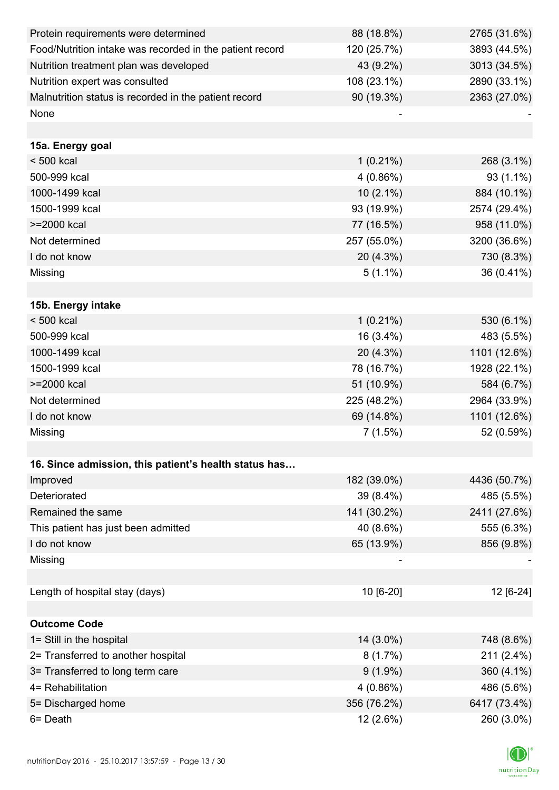| Protein requirements were determined                     | 88 (18.8%)  | 2765 (31.6%) |
|----------------------------------------------------------|-------------|--------------|
| Food/Nutrition intake was recorded in the patient record | 120 (25.7%) | 3893 (44.5%) |
| Nutrition treatment plan was developed                   | 43 (9.2%)   | 3013 (34.5%) |
| Nutrition expert was consulted                           | 108 (23.1%) | 2890 (33.1%) |
| Malnutrition status is recorded in the patient record    | 90 (19.3%)  | 2363 (27.0%) |
| None                                                     |             |              |
|                                                          |             |              |
| 15a. Energy goal                                         |             |              |
| $< 500$ kcal                                             | $1(0.21\%)$ | 268 (3.1%)   |
| 500-999 kcal                                             | $4(0.86\%)$ | 93 (1.1%)    |
| 1000-1499 kcal                                           | $10(2.1\%)$ | 884 (10.1%)  |
| 1500-1999 kcal                                           | 93 (19.9%)  | 2574 (29.4%) |
| >=2000 kcal                                              | 77 (16.5%)  | 958 (11.0%)  |
| Not determined                                           | 257 (55.0%) | 3200 (36.6%) |
| I do not know                                            | 20 (4.3%)   | 730 (8.3%)   |
| Missing                                                  | $5(1.1\%)$  | 36 (0.41%)   |
|                                                          |             |              |
| 15b. Energy intake                                       |             |              |
| $< 500$ kcal                                             | $1(0.21\%)$ | 530 (6.1%)   |
| 500-999 kcal                                             | 16 (3.4%)   | 483 (5.5%)   |
| 1000-1499 kcal                                           | 20 (4.3%)   | 1101 (12.6%) |
| 1500-1999 kcal                                           | 78 (16.7%)  | 1928 (22.1%) |
| >=2000 kcal                                              | 51 (10.9%)  | 584 (6.7%)   |
| Not determined                                           | 225 (48.2%) | 2964 (33.9%) |
| I do not know                                            | 69 (14.8%)  | 1101 (12.6%) |
| Missing                                                  | 7(1.5%)     | 52 (0.59%)   |
|                                                          |             |              |
| 16. Since admission, this patient's health status has    |             |              |
| Improved                                                 | 182 (39.0%) | 4436 (50.7%) |
| Deteriorated                                             | 39 (8.4%)   | 485 (5.5%)   |
| Remained the same                                        | 141 (30.2%) | 2411 (27.6%) |
| This patient has just been admitted                      | 40 (8.6%)   | 555 (6.3%)   |
| I do not know                                            | 65 (13.9%)  | 856 (9.8%)   |
| Missing                                                  |             |              |
|                                                          |             |              |
| Length of hospital stay (days)                           | 10 [6-20]   | 12 [6-24]    |
|                                                          |             |              |
| <b>Outcome Code</b>                                      |             |              |
| 1= Still in the hospital                                 | 14 (3.0%)   | 748 (8.6%)   |
| 2= Transferred to another hospital                       | 8(1.7%)     | 211 (2.4%)   |
| 3= Transferred to long term care                         | $9(1.9\%)$  | 360 (4.1%)   |
| 4= Rehabilitation                                        | 4(0.86%)    | 486 (5.6%)   |
| 5= Discharged home                                       | 356 (76.2%) | 6417 (73.4%) |
| 6= Death                                                 | 12 (2.6%)   | 260 (3.0%)   |

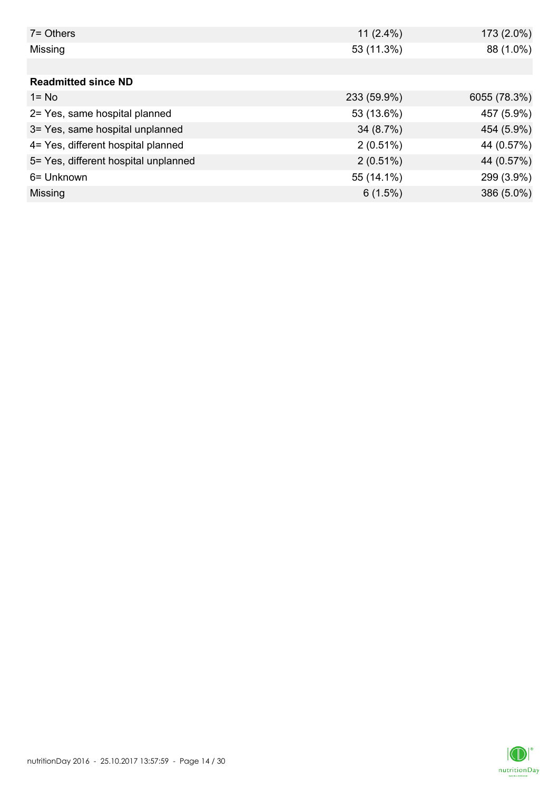| 7 = Others                           | 11 $(2.4\%)$ | 173 (2.0%)   |
|--------------------------------------|--------------|--------------|
| Missing                              | 53 (11.3%)   | 88 (1.0%)    |
|                                      |              |              |
| <b>Readmitted since ND</b>           |              |              |
| $1 = No$                             | 233 (59.9%)  | 6055 (78.3%) |
| 2= Yes, same hospital planned        | 53 (13.6%)   | 457 (5.9%)   |
| 3= Yes, same hospital unplanned      | 34(8.7%)     | 454 (5.9%)   |
| 4= Yes, different hospital planned   | $2(0.51\%)$  | 44 (0.57%)   |
| 5= Yes, different hospital unplanned | $2(0.51\%)$  | 44 (0.57%)   |
| 6= Unknown                           | 55 (14.1%)   | 299 (3.9%)   |
| Missing                              | 6(1.5%)      | 386 (5.0%)   |

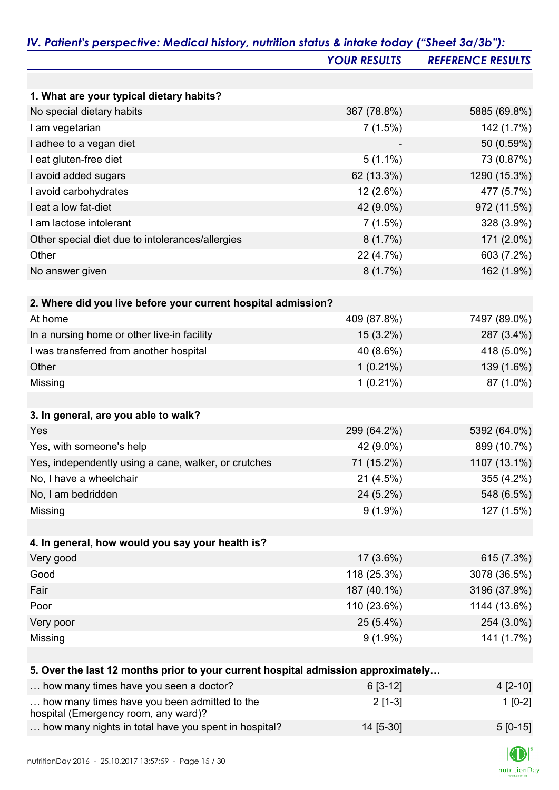|                                                                                   | <b>YOUR RESULTS</b> | <b>REFERENCE RESULTS</b> |
|-----------------------------------------------------------------------------------|---------------------|--------------------------|
|                                                                                   |                     |                          |
| 1. What are your typical dietary habits?                                          |                     |                          |
| No special dietary habits                                                         | 367 (78.8%)         | 5885 (69.8%)             |
| I am vegetarian                                                                   | 7(1.5%)             | 142 (1.7%)               |
| I adhee to a vegan diet                                                           |                     | 50 (0.59%)               |
| I eat gluten-free diet                                                            | $5(1.1\%)$          | 73 (0.87%)               |
| I avoid added sugars                                                              | 62 (13.3%)          | 1290 (15.3%)             |
| I avoid carbohydrates                                                             | 12 (2.6%)           | 477 (5.7%)               |
| I eat a low fat-diet                                                              | 42 (9.0%)           | 972 (11.5%)              |
| I am lactose intolerant                                                           | 7(1.5%)             | 328 (3.9%)               |
| Other special diet due to intolerances/allergies                                  | $8(1.7\%)$          | 171 (2.0%)               |
| Other                                                                             | 22 (4.7%)           | 603 (7.2%)               |
| No answer given                                                                   | 8(1.7%)             | 162 (1.9%)               |
|                                                                                   |                     |                          |
| 2. Where did you live before your current hospital admission?                     |                     |                          |
| At home                                                                           | 409 (87.8%)         | 7497 (89.0%)             |
| In a nursing home or other live-in facility                                       | 15 (3.2%)           | 287 (3.4%)               |
| I was transferred from another hospital                                           | 40 (8.6%)           | 418 (5.0%)               |
| Other                                                                             | $1(0.21\%)$         | 139 (1.6%)               |
| Missing                                                                           | $1(0.21\%)$         | 87 (1.0%)                |
|                                                                                   |                     |                          |
| 3. In general, are you able to walk?                                              |                     |                          |
| Yes                                                                               | 299 (64.2%)         | 5392 (64.0%)             |
| Yes, with someone's help                                                          | 42 (9.0%)           | 899 (10.7%)              |
| Yes, independently using a cane, walker, or crutches                              | 71 (15.2%)          | 1107 (13.1%)             |
| No, I have a wheelchair                                                           | $21(4.5\%)$         | 355 (4.2%)               |
| No, I am bedridden                                                                | 24 (5.2%)           | 548 (6.5%)               |
| Missing                                                                           | $9(1.9\%)$          | 127 (1.5%)               |
|                                                                                   |                     |                          |
| 4. In general, how would you say your health is?                                  |                     |                          |
| Very good                                                                         | 17 (3.6%)           | 615 (7.3%)               |
| Good                                                                              | 118 (25.3%)         | 3078 (36.5%)             |
| Fair                                                                              | 187 (40.1%)         | 3196 (37.9%)             |
| Poor                                                                              | 110 (23.6%)         | 1144 (13.6%)             |
| Very poor                                                                         | $25(5.4\%)$         | 254 (3.0%)               |
| Missing                                                                           | $9(1.9\%)$          | 141 (1.7%)               |
|                                                                                   |                     |                          |
| 5. Over the last 12 months prior to your current hospital admission approximately |                     |                          |
| how many times have you seen a doctor?                                            | $6[3-12]$           | 4 [2-10]                 |
|                                                                                   |                     |                          |

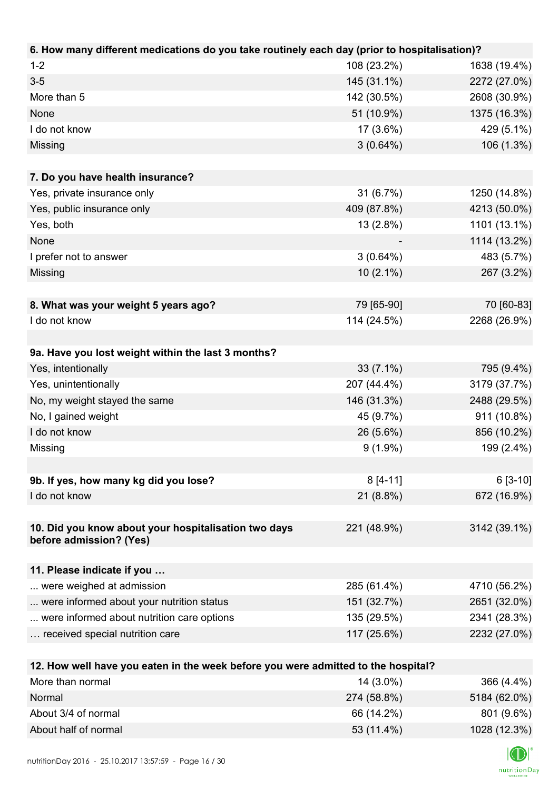| 6. How many different medications do you take routinely each day (prior to hospitalisation)? |                          |                            |
|----------------------------------------------------------------------------------------------|--------------------------|----------------------------|
| $1 - 2$                                                                                      | 108 (23.2%)              | 1638 (19.4%)               |
| $3-5$                                                                                        | 145 (31.1%)              | 2272 (27.0%)               |
| More than 5                                                                                  | 142 (30.5%)              | 2608 (30.9%)               |
| None                                                                                         | 51 (10.9%)               | 1375 (16.3%)               |
| I do not know                                                                                | 17 (3.6%)                | 429 (5.1%)                 |
| Missing                                                                                      | 3(0.64%)                 | 106 (1.3%)                 |
|                                                                                              |                          |                            |
| 7. Do you have health insurance?                                                             |                          |                            |
| Yes, private insurance only                                                                  | 31 (6.7%)                | 1250 (14.8%)               |
| Yes, public insurance only                                                                   | 409 (87.8%)              | 4213 (50.0%)               |
| Yes, both                                                                                    | 13 (2.8%)                | 1101 (13.1%)               |
| None                                                                                         |                          | 1114 (13.2%)               |
| I prefer not to answer                                                                       | $3(0.64\%)$              | 483 (5.7%)                 |
| Missing                                                                                      | $10(2.1\%)$              | 267 (3.2%)                 |
|                                                                                              |                          |                            |
| 8. What was your weight 5 years ago?                                                         | 79 [65-90]               | 70 [60-83]                 |
| I do not know                                                                                | 114 (24.5%)              | 2268 (26.9%)               |
|                                                                                              |                          |                            |
| 9a. Have you lost weight within the last 3 months?                                           |                          |                            |
| Yes, intentionally                                                                           | $33(7.1\%)$              | 795 (9.4%)                 |
| Yes, unintentionally                                                                         | 207 (44.4%)              | 3179 (37.7%)               |
| No, my weight stayed the same                                                                | 146 (31.3%)              | 2488 (29.5%)               |
| No, I gained weight                                                                          | 45 (9.7%)                | 911 (10.8%)                |
| I do not know                                                                                | 26 (5.6%)                | 856 (10.2%)                |
| Missing                                                                                      | $9(1.9\%)$               | 199 (2.4%)                 |
|                                                                                              |                          |                            |
| 9b. If yes, how many kg did you lose?                                                        | $8[4-11]$                | $6[3-10]$                  |
| I do not know                                                                                | $21(8.8\%)$              | 672 (16.9%)                |
|                                                                                              |                          |                            |
| 10. Did you know about your hospitalisation two days                                         | 221 (48.9%)              | 3142 (39.1%)               |
| before admission? (Yes)                                                                      |                          |                            |
|                                                                                              |                          |                            |
| 11. Please indicate if you                                                                   |                          |                            |
| were weighed at admission                                                                    | 285 (61.4%)              | 4710 (56.2%)               |
| were informed about your nutrition status                                                    | 151 (32.7%)              | 2651 (32.0%)               |
| were informed about nutrition care options                                                   | 135 (29.5%)              | 2341 (28.3%)               |
| received special nutrition care                                                              | 117 (25.6%)              | 2232 (27.0%)               |
|                                                                                              |                          |                            |
| 12. How well have you eaten in the week before you were admitted to the hospital?            |                          |                            |
| More than normal<br>Normal                                                                   | 14 (3.0%)<br>274 (58.8%) | 366 (4.4%)<br>5184 (62.0%) |
|                                                                                              |                          |                            |

| 274 (58.8%) | 5184 (62.0%) |
|-------------|--------------|
| 66 (14.2%)  | 801 (9.6%)   |
| 53 (11.4%)  | 1028 (12.3%) |
|             |              |

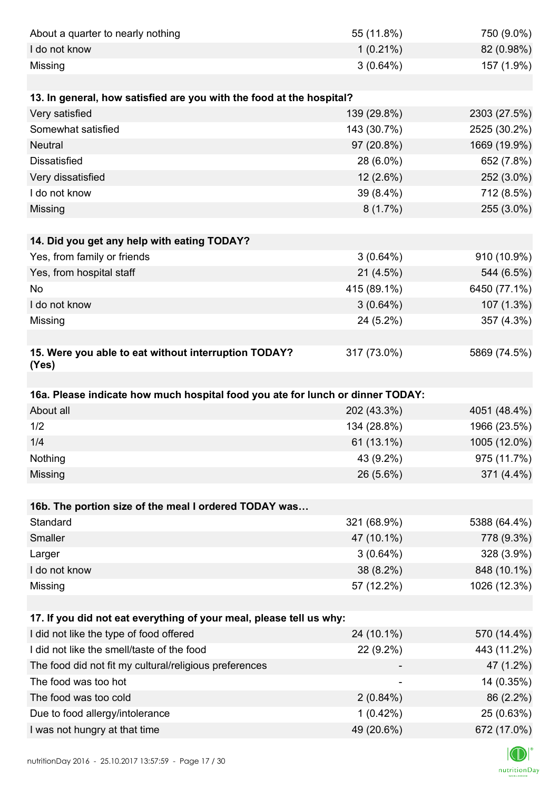| About a quarter to nearly nothing                                              | 55 (11.8%)             | 750 (9.0%)                |
|--------------------------------------------------------------------------------|------------------------|---------------------------|
| I do not know                                                                  | $1(0.21\%)$            | 82 (0.98%)                |
| Missing                                                                        | $3(0.64\%)$            | 157 (1.9%)                |
|                                                                                |                        |                           |
| 13. In general, how satisfied are you with the food at the hospital?           |                        |                           |
| Very satisfied                                                                 | 139 (29.8%)            | 2303 (27.5%)              |
| Somewhat satisfied                                                             | 143 (30.7%)            | 2525 (30.2%)              |
| <b>Neutral</b>                                                                 | 97 (20.8%)             | 1669 (19.9%)              |
| <b>Dissatisfied</b>                                                            | 28 (6.0%)              | 652 (7.8%)                |
| Very dissatisfied                                                              | $12(2.6\%)$            | 252 (3.0%)                |
| I do not know                                                                  | 39 (8.4%)              | 712 (8.5%)                |
| Missing                                                                        | 8(1.7%)                | 255 (3.0%)                |
|                                                                                |                        |                           |
| 14. Did you get any help with eating TODAY?                                    |                        |                           |
| Yes, from family or friends                                                    | $3(0.64\%)$            | 910 (10.9%)               |
| Yes, from hospital staff                                                       | 21(4.5%)               | 544 (6.5%)                |
| No                                                                             | 415 (89.1%)            | 6450 (77.1%)              |
| I do not know                                                                  | $3(0.64\%)$            | 107 (1.3%)                |
| Missing                                                                        | 24 (5.2%)              | 357 (4.3%)                |
|                                                                                |                        |                           |
| 15. Were you able to eat without interruption TODAY?<br>(Yes)                  | 317 (73.0%)            | 5869 (74.5%)              |
|                                                                                |                        |                           |
|                                                                                |                        |                           |
| 16a. Please indicate how much hospital food you ate for lunch or dinner TODAY: |                        |                           |
| About all                                                                      | 202 (43.3%)            | 4051 (48.4%)              |
| 1/2                                                                            | 134 (28.8%)            | 1966 (23.5%)              |
| 1/4                                                                            | 61 (13.1%)             | 1005 (12.0%)              |
| Nothing                                                                        | 43 (9.2%)              | 975 (11.7%)               |
| Missing                                                                        | 26 (5.6%)              | 371 (4.4%)                |
|                                                                                |                        |                           |
| 16b. The portion size of the meal I ordered TODAY was                          |                        |                           |
| Standard                                                                       | 321 (68.9%)            | 5388 (64.4%)              |
| Smaller                                                                        | 47 (10.1%)             | 778 (9.3%)                |
| Larger                                                                         | $3(0.64\%)$            | 328 (3.9%)                |
| I do not know                                                                  | 38 (8.2%)              | 848 (10.1%)               |
| Missing                                                                        | 57 (12.2%)             | 1026 (12.3%)              |
|                                                                                |                        |                           |
| 17. If you did not eat everything of your meal, please tell us why:            |                        |                           |
| I did not like the type of food offered                                        | 24 (10.1%)             | 570 (14.4%)               |
| I did not like the smell/taste of the food                                     | 22 (9.2%)              | 443 (11.2%)               |
| The food did not fit my cultural/religious preferences                         |                        | 47 (1.2%)                 |
| The food was too hot                                                           |                        | 14 (0.35%)                |
| The food was too cold                                                          | $2(0.84\%)$            | 86 (2.2%)                 |
| Due to food allergy/intolerance<br>I was not hungry at that time               | 1(0.42%)<br>49 (20.6%) | 25 (0.63%)<br>672 (17.0%) |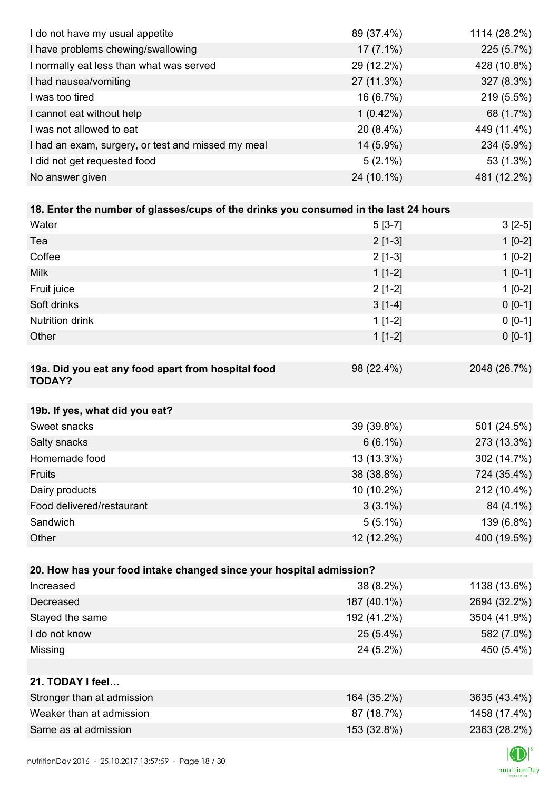| I do not have my usual appetite                                                      | 89 (37.4%)  | 1114 (28.2%) |
|--------------------------------------------------------------------------------------|-------------|--------------|
| I have problems chewing/swallowing                                                   | $17(7.1\%)$ | 225 (5.7%)   |
| I normally eat less than what was served                                             | 29 (12.2%)  | 428 (10.8%)  |
| I had nausea/vomiting                                                                | 27 (11.3%)  | 327 (8.3%)   |
| I was too tired                                                                      | 16 (6.7%)   | 219 (5.5%)   |
| I cannot eat without help                                                            | $1(0.42\%)$ | 68 (1.7%)    |
| I was not allowed to eat                                                             | 20 (8.4%)   | 449 (11.4%)  |
| I had an exam, surgery, or test and missed my meal                                   | 14 (5.9%)   | 234 (5.9%)   |
| I did not get requested food                                                         | $5(2.1\%)$  | 53 (1.3%)    |
| No answer given                                                                      | 24 (10.1%)  | 481 (12.2%)  |
|                                                                                      |             |              |
| 18. Enter the number of glasses/cups of the drinks you consumed in the last 24 hours |             |              |
| Water                                                                                | $5[3-7]$    | $3[2-5]$     |
| Tea                                                                                  | $2[1-3]$    | $1[0-2]$     |
| Coffee                                                                               | $2[1-3]$    | $1[0-2]$     |
| <b>Milk</b>                                                                          | $1[1-2]$    | $1[0-1]$     |
| Fruit juice                                                                          | $2[1-2]$    | $1[0-2]$     |
| Soft drinks                                                                          | $3[1-4]$    | $0[0-1]$     |
| <b>Nutrition drink</b>                                                               | $1[1-2]$    | $0 [0-1]$    |
| Other                                                                                | $1[1-2]$    | $0 [0-1]$    |
|                                                                                      |             |              |
| 19a. Did you eat any food apart from hospital food<br><b>TODAY?</b>                  | 98 (22.4%)  | 2048 (26.7%) |
| 19b. If yes, what did you eat?                                                       |             |              |
| Sweet snacks                                                                         | 39 (39.8%)  | 501 (24.5%)  |
| Salty snacks                                                                         | $6(6.1\%)$  | 273 (13.3%)  |
| Homemade food                                                                        | 13 (13.3%)  | 302 (14.7%)  |
| Fruits                                                                               | 38 (38.8%)  | 724 (35.4%)  |
| Dairy products                                                                       | 10 (10.2%)  | 212 (10.4%)  |
| Food delivered/restaurant                                                            | $3(3.1\%)$  | 84 (4.1%)    |
| Sandwich                                                                             | $5(5.1\%)$  | 139 (6.8%)   |
| Other                                                                                | 12 (12.2%)  | 400 (19.5%)  |
|                                                                                      |             |              |
| 20. How has your food intake changed since your hospital admission?                  |             |              |
| Increased                                                                            | 38 (8.2%)   | 1138 (13.6%) |
| Decreased                                                                            | 187 (40.1%) | 2694 (32.2%) |
| Stayed the same                                                                      | 192 (41.2%) | 3504 (41.9%) |
| I do not know                                                                        | $25(5.4\%)$ | 582 (7.0%)   |
| Missing                                                                              | 24 (5.2%)   | 450 (5.4%)   |
|                                                                                      |             |              |
| 21. TODAY I feel                                                                     |             |              |
| Stronger than at admission                                                           | 164 (35.2%) | 3635 (43.4%) |
| Weaker than at admission                                                             | 87 (18.7%)  | 1458 (17.4%) |
| Same as at admission                                                                 | 153 (32.8%) | 2363 (28.2%) |
|                                                                                      |             |              |

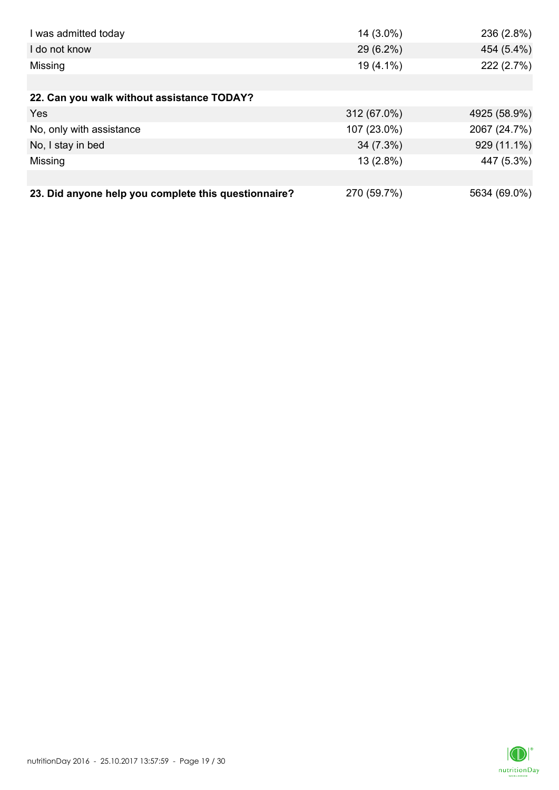| I was admitted today                                 | 14 (3.0%)   | 236 (2.8%)   |
|------------------------------------------------------|-------------|--------------|
| I do not know                                        | 29 (6.2%)   | 454 (5.4%)   |
| Missing                                              | 19 (4.1%)   | 222 (2.7%)   |
|                                                      |             |              |
| 22. Can you walk without assistance TODAY?           |             |              |
| Yes                                                  | 312 (67.0%) | 4925 (58.9%) |
| No, only with assistance                             | 107 (23.0%) | 2067 (24.7%) |
| No, I stay in bed                                    | 34 (7.3%)   | 929 (11.1%)  |
| Missing                                              | 13 (2.8%)   | 447 (5.3%)   |
|                                                      |             |              |
| 23. Did anyone help you complete this questionnaire? | 270 (59.7%) | 5634 (69.0%) |

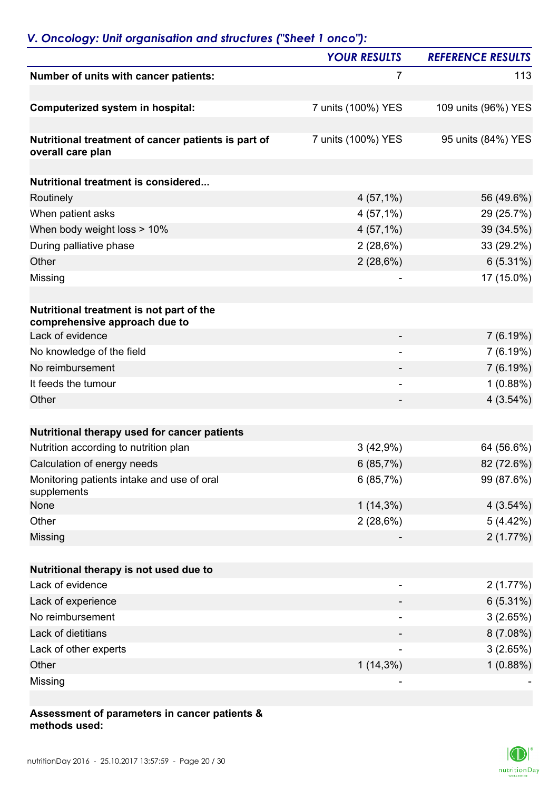## *V. Oncology: Unit organisation and structures ("Sheet 1 onco"):*

|                                                                           | <b>YOUR RESULTS</b>      | <b>REFERENCE RESULTS</b> |
|---------------------------------------------------------------------------|--------------------------|--------------------------|
| Number of units with cancer patients:                                     | 7                        | 113                      |
| Computerized system in hospital:                                          | 7 units (100%) YES       | 109 units (96%) YES      |
| Nutritional treatment of cancer patients is part of<br>overall care plan  | 7 units (100%) YES       | 95 units (84%) YES       |
| <b>Nutritional treatment is considered</b>                                |                          |                          |
| Routinely                                                                 | $4(57,1\%)$              | 56 (49.6%)               |
| When patient asks                                                         | $4(57,1\%)$              | 29 (25.7%)               |
| When body weight loss > 10%                                               | $4(57,1\%)$              | 39 (34.5%)               |
| During palliative phase                                                   | 2(28,6%)                 | 33 (29.2%)               |
| Other                                                                     | 2(28,6%)                 | $6(5.31\%)$              |
| Missing                                                                   |                          | 17 (15.0%)               |
| Nutritional treatment is not part of the<br>comprehensive approach due to |                          |                          |
| Lack of evidence                                                          |                          | 7(6.19%)                 |
| No knowledge of the field                                                 |                          | 7(6.19%)                 |
| No reimbursement                                                          |                          | 7(6.19%)                 |
| It feeds the tumour                                                       | $\overline{\phantom{0}}$ | 1(0.88%)                 |
| Other                                                                     |                          | 4(3.54%)                 |
| Nutritional therapy used for cancer patients                              |                          |                          |
| Nutrition according to nutrition plan                                     | 3(42,9%)                 | 64 (56.6%)               |
| Calculation of energy needs                                               | 6(85,7%)                 | 82 (72.6%)               |
| Monitoring patients intake and use of oral<br>supplements                 | 6(85,7%)                 | 99 (87.6%)               |
| None                                                                      | $1(14,3\%)$              | 4(3.54%)                 |
| Other                                                                     | 2(28,6%)                 | 5(4.42%)                 |
| Missing                                                                   |                          | 2(1.77%)                 |
| Nutritional therapy is not used due to                                    |                          |                          |
| Lack of evidence                                                          |                          | 2(1.77%)                 |
| Lack of experience                                                        |                          | $6(5.31\%)$              |
| No reimbursement                                                          |                          | 3(2.65%)                 |
| Lack of dietitians                                                        |                          | 8(7.08%)                 |
| Lack of other experts                                                     | $\overline{a}$           | 3(2.65%)                 |
| Other                                                                     | $1(14,3\%)$              | 1(0.88%)                 |
| Missing                                                                   |                          |                          |

#### **Assessment of parameters in cancer patients & methods used:**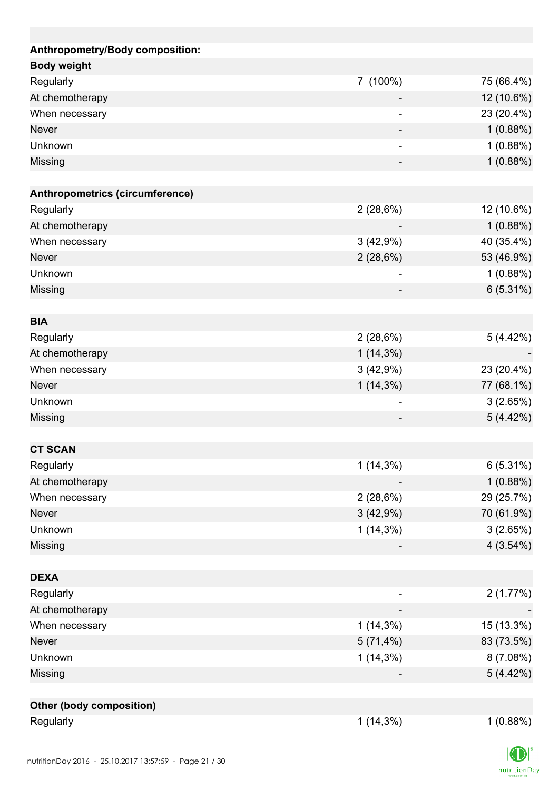| Anthropometry/Body composition: |                          |             |
|---------------------------------|--------------------------|-------------|
| <b>Body weight</b>              |                          |             |
| Regularly                       | 7 (100%)                 | 75 (66.4%)  |
| At chemotherapy                 |                          | 12 (10.6%)  |
| When necessary                  |                          | 23 (20.4%)  |
| Never                           |                          | 1(0.88%)    |
| Unknown                         | $\overline{\phantom{0}}$ | 1(0.88%)    |
| Missing                         |                          | 1(0.88%)    |
|                                 |                          |             |
| Anthropometrics (circumference) |                          |             |
| Regularly                       | 2(28,6%)                 | 12 (10.6%)  |
| At chemotherapy                 |                          | 1(0.88%)    |
| When necessary                  | 3(42,9%)                 | 40 (35.4%)  |
| <b>Never</b>                    | 2(28,6%)                 | 53 (46.9%)  |
| Unknown                         | -                        | 1(0.88%)    |
| Missing                         |                          | $6(5.31\%)$ |
|                                 |                          |             |
| <b>BIA</b>                      |                          |             |
| Regularly                       | 2(28,6%)                 | 5 (4.42%)   |
| At chemotherapy                 | $1(14,3\%)$              |             |
| When necessary                  | 3(42,9%)                 | 23 (20.4%)  |
| <b>Never</b>                    | $1(14,3\%)$              | 77 (68.1%)  |
| Unknown                         |                          | 3(2.65%)    |
| Missing                         |                          | 5(4.42%)    |
|                                 |                          |             |
| <b>CT SCAN</b>                  |                          |             |
| Regularly                       | $1(14,3\%)$              | 6(5.31%)    |
| At chemotherapy                 |                          | 1(0.88%)    |
| When necessary                  | 2(28,6%)                 | 29 (25.7%)  |
| Never                           | 3(42,9%)                 | 70 (61.9%)  |
| Unknown                         | $1(14,3\%)$              | 3(2.65%)    |
| Missing                         |                          | 4(3.54%)    |
|                                 |                          |             |
| <b>DEXA</b>                     |                          |             |
| Regularly                       |                          | 2(1.77%)    |
| At chemotherapy                 |                          |             |
| When necessary                  | $1(14,3\%)$              | 15 (13.3%)  |
| Never                           | 5(71,4%)                 | 83 (73.5%)  |
| Unknown                         | $1(14,3\%)$              | 8(7.08%)    |
| Missing                         |                          | 5(4.42%)    |
|                                 |                          |             |
| Other (body composition)        |                          |             |
| Regularly                       | $1(14,3\%)$              | 1(0.88%)    |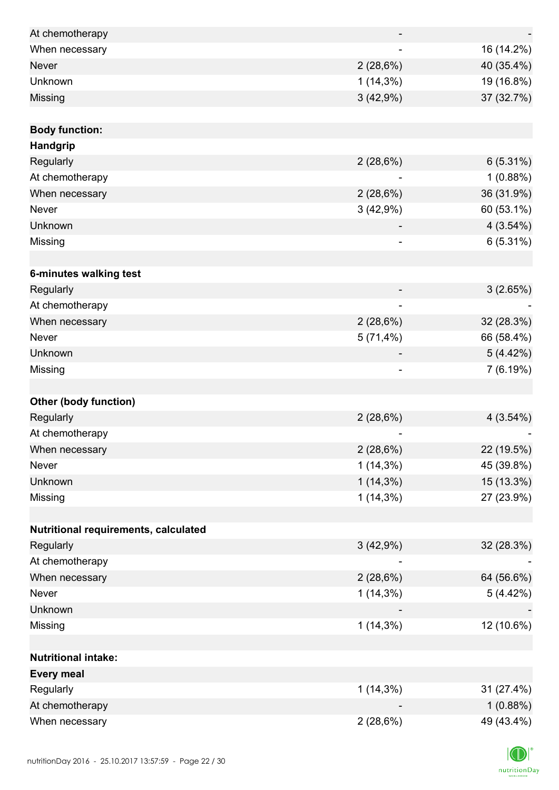| At chemotherapy                      |             |             |
|--------------------------------------|-------------|-------------|
| When necessary                       |             | 16 (14.2%)  |
| <b>Never</b>                         | 2(28,6%)    | 40 (35.4%)  |
| Unknown                              | $1(14,3\%)$ | 19 (16.8%)  |
| Missing                              | 3(42,9%)    | 37 (32.7%)  |
|                                      |             |             |
| <b>Body function:</b>                |             |             |
| Handgrip                             |             |             |
| Regularly                            | 2(28,6%)    | 6(5.31%)    |
| At chemotherapy                      |             | 1(0.88%)    |
| When necessary                       | 2(28,6%)    | 36 (31.9%)  |
| Never                                | 3(42,9%)    | 60 (53.1%)  |
| Unknown                              |             | 4(3.54%)    |
| Missing                              | ۰           | 6(5.31%)    |
|                                      |             |             |
| 6-minutes walking test               |             |             |
| Regularly                            |             | 3(2.65%)    |
| At chemotherapy                      |             |             |
| When necessary                       | 2(28,6%)    | 32 (28.3%)  |
| Never                                | $5(71,4\%)$ | 66 (58.4%)  |
| Unknown                              |             | 5(4.42%)    |
| Missing                              |             | 7(6.19%)    |
|                                      |             |             |
| <b>Other (body function)</b>         |             |             |
| Regularly                            | 2(28,6%)    | $4(3.54\%)$ |
| At chemotherapy                      |             |             |
| When necessary                       | 2(28,6%)    | 22 (19.5%)  |
| Never                                | $1(14,3\%)$ | 45 (39.8%)  |
| Unknown                              | $1(14,3\%)$ | 15 (13.3%)  |
| Missing                              | $1(14,3\%)$ | 27 (23.9%)  |
|                                      |             |             |
| Nutritional requirements, calculated |             |             |
| Regularly                            | 3(42,9%)    | 32 (28.3%)  |
| At chemotherapy                      |             |             |
| When necessary                       | 2(28,6%)    | 64 (56.6%)  |
| Never                                | $1(14,3\%)$ | 5(4.42%)    |
| Unknown                              |             |             |
| Missing                              | $1(14,3\%)$ | 12 (10.6%)  |
|                                      |             |             |
| <b>Nutritional intake:</b>           |             |             |
| <b>Every meal</b>                    |             |             |
| Regularly                            | $1(14,3\%)$ | 31 (27.4%)  |
| At chemotherapy                      |             | 1(0.88%)    |
| When necessary                       | 2(28,6%)    | 49 (43.4%)  |

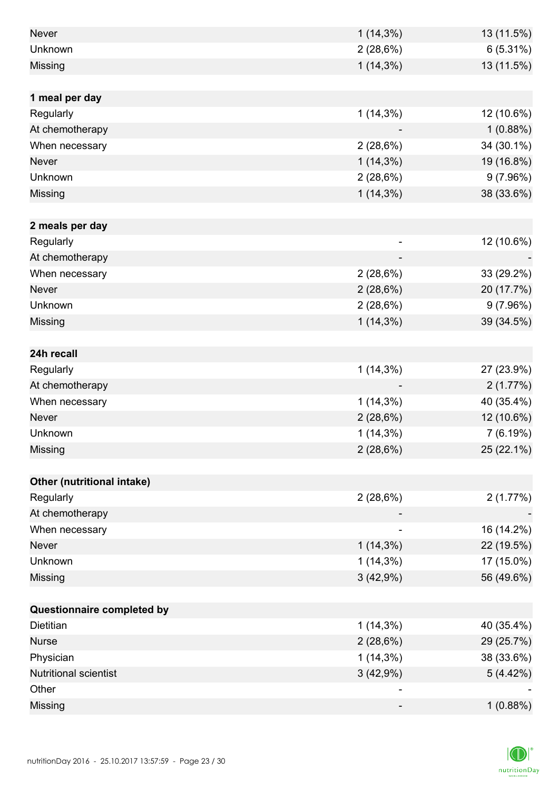| <b>Never</b>                 | $1(14,3\%)$ | 13 (11.5%) |
|------------------------------|-------------|------------|
| Unknown                      |             |            |
|                              | 2(28,6%)    | 6(5.31%)   |
| Missing                      | $1(14,3\%)$ | 13 (11.5%) |
|                              |             |            |
| 1 meal per day               |             |            |
| Regularly                    | $1(14,3\%)$ | 12 (10.6%) |
| At chemotherapy              |             | 1(0.88%)   |
| When necessary               | 2(28,6%)    | 34 (30.1%) |
| <b>Never</b>                 | $1(14,3\%)$ | 19 (16.8%) |
| Unknown                      | 2(28,6%)    | 9(7.96%)   |
| Missing                      | $1(14,3\%)$ | 38 (33.6%) |
|                              |             |            |
| 2 meals per day              |             |            |
| Regularly                    |             | 12 (10.6%) |
| At chemotherapy              |             |            |
| When necessary               | 2(28,6%)    | 33 (29.2%) |
| <b>Never</b>                 | 2(28,6%)    | 20 (17.7%) |
| Unknown                      | 2(28,6%)    | 9(7.96%)   |
| Missing                      | $1(14,3\%)$ | 39 (34.5%) |
|                              |             |            |
| 24h recall                   |             |            |
| Regularly                    | $1(14,3\%)$ | 27 (23.9%) |
| At chemotherapy              |             | 2(1.77%)   |
| When necessary               | $1(14,3\%)$ | 40 (35.4%) |
| <b>Never</b>                 | 2(28,6%)    | 12 (10.6%) |
| Unknown                      | $1(14,3\%)$ | 7(6.19%)   |
| Missing                      | 2(28,6%)    | 25 (22.1%) |
|                              |             |            |
| Other (nutritional intake)   |             |            |
| Regularly                    | 2(28,6%)    | 2(1.77%)   |
| At chemotherapy              |             |            |
| When necessary               |             | 16 (14.2%) |
| Never                        | $1(14,3\%)$ | 22 (19.5%) |
| Unknown                      | $1(14,3\%)$ | 17 (15.0%) |
| Missing                      | 3(42,9%)    | 56 (49.6%) |
|                              |             |            |
| Questionnaire completed by   |             |            |
| <b>Dietitian</b>             | $1(14,3\%)$ | 40 (35.4%) |
| <b>Nurse</b>                 | 2(28,6%)    | 29 (25.7%) |
| Physician                    | $1(14,3\%)$ | 38 (33.6%) |
| <b>Nutritional scientist</b> | 3(42,9%)    | 5(4.42%)   |
| Other                        |             |            |
| Missing                      | -           | 1(0.88%)   |
|                              |             |            |

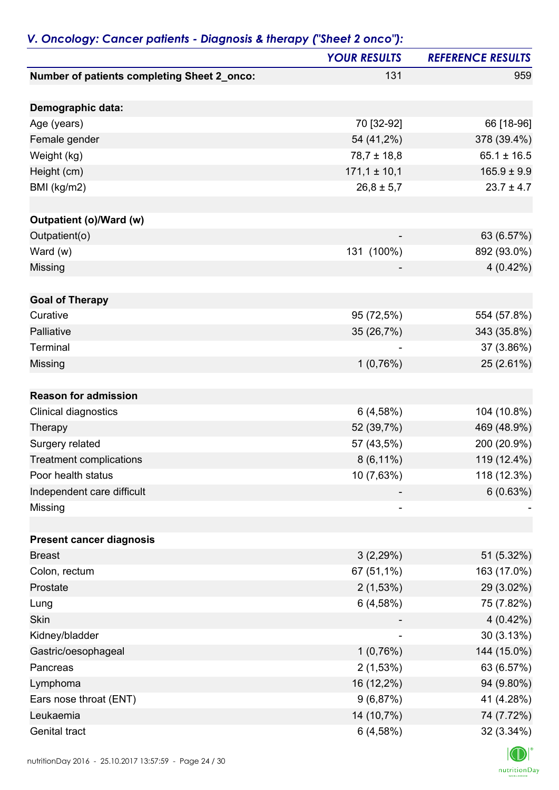|                                                      | <b>YOUR RESULTS</b>        | <b>REFERENCE RESULTS</b>   |
|------------------------------------------------------|----------------------------|----------------------------|
| Number of patients completing Sheet 2_onco:          | 131                        | 959                        |
|                                                      |                            |                            |
| Demographic data:                                    |                            |                            |
| Age (years)                                          | 70 [32-92]                 | 66 [18-96]                 |
| Female gender                                        | 54 (41,2%)                 | 378 (39.4%)                |
| Weight (kg)                                          | $78,7 \pm 18,8$            | $65.1 \pm 16.5$            |
| Height (cm)                                          | $171,1 \pm 10,1$           | $165.9 \pm 9.9$            |
| BMI (kg/m2)                                          | $26,8 \pm 5,7$             | $23.7 \pm 4.7$             |
| <b>Outpatient (o)/Ward (w)</b>                       |                            |                            |
| Outpatient(o)                                        |                            | 63 (6.57%)                 |
| Ward (w)                                             | 131 (100%)                 | 892 (93.0%)                |
| Missing                                              |                            | $4(0.42\%)$                |
|                                                      |                            |                            |
| <b>Goal of Therapy</b>                               |                            |                            |
| Curative                                             | 95 (72,5%)                 | 554 (57.8%)                |
| Palliative                                           | 35 (26,7%)                 | 343 (35.8%)                |
| Terminal                                             |                            | 37 (3.86%)                 |
| Missing                                              | 1(0,76%)                   | 25 (2.61%)                 |
| <b>Reason for admission</b>                          |                            |                            |
| Clinical diagnostics                                 | 6(4,58%)                   | 104 (10.8%)                |
| Therapy                                              | 52 (39,7%)                 | 469 (48.9%)                |
| Surgery related                                      | 57 (43,5%)                 | 200 (20.9%)                |
|                                                      |                            |                            |
| <b>Treatment complications</b><br>Poor health status | $8(6, 11\%)$<br>10 (7,63%) | 119 (12.4%)<br>118 (12.3%) |
|                                                      |                            |                            |
| Independent care difficult<br>Missing                |                            | 6(0.63%)                   |
|                                                      |                            |                            |
| <b>Present cancer diagnosis</b>                      |                            |                            |
| <b>Breast</b>                                        | 3(2,29%)                   | 51 (5.32%)                 |
| Colon, rectum                                        | 67 (51,1%)                 | 163 (17.0%)                |
| Prostate                                             | 2(1,53%)                   | 29 (3.02%)                 |
| Lung                                                 | 6(4,58%)                   | 75 (7.82%)                 |
| Skin                                                 |                            | $4(0.42\%)$                |
| Kidney/bladder                                       |                            | 30(3.13%)                  |
| Gastric/oesophageal                                  | 1(0,76%)                   | 144 (15.0%)                |
| Pancreas                                             | 2(1,53%)                   | 63 (6.57%)                 |
| Lymphoma                                             | 16 (12,2%)                 | 94 (9.80%)                 |
| Ears nose throat (ENT)                               | 9(6,87%)                   | 41 (4.28%)                 |
| Leukaemia                                            | 14 (10,7%)                 | 74 (7.72%)                 |
| Genital tract                                        | 6(4,58%)                   | 32 (3.34%)                 |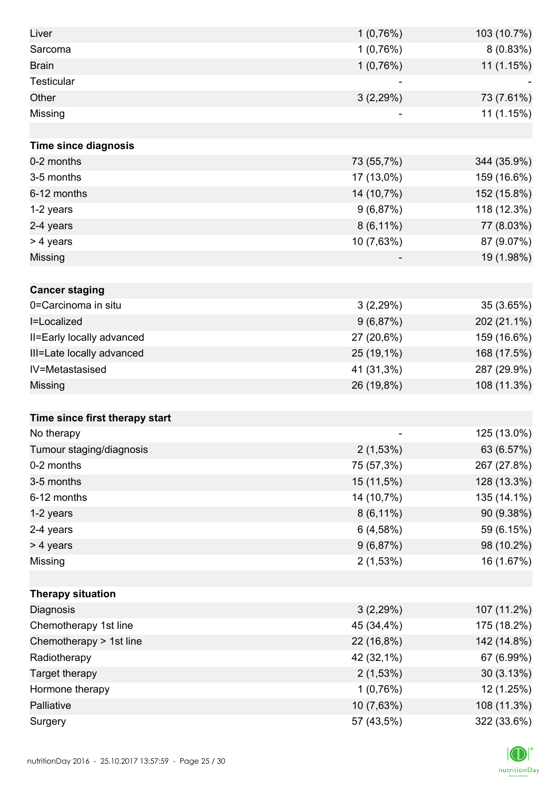| Liver                          | 1(0,76%)     | 103 (10.7%) |
|--------------------------------|--------------|-------------|
| Sarcoma                        | 1(0,76%)     | 8(0.83%)    |
| <b>Brain</b>                   | 1(0,76%)     | 11 (1.15%)  |
| Testicular                     |              |             |
| Other                          | 3(2,29%)     | 73 (7.61%)  |
| Missing                        |              | 11 (1.15%)  |
|                                |              |             |
| <b>Time since diagnosis</b>    |              |             |
| 0-2 months                     | 73 (55,7%)   | 344 (35.9%) |
| 3-5 months                     | 17 (13,0%)   | 159 (16.6%) |
| 6-12 months                    | 14 (10,7%)   | 152 (15.8%) |
| 1-2 years                      | 9(6,87%)     | 118 (12.3%) |
| 2-4 years                      | $8(6,11\%)$  | 77 (8.03%)  |
| > 4 years                      | 10 (7,63%)   | 87 (9.07%)  |
| Missing                        |              | 19 (1.98%)  |
|                                |              |             |
| <b>Cancer staging</b>          |              |             |
| 0=Carcinoma in situ            | 3(2,29%)     | 35 (3.65%)  |
| I=Localized                    | 9(6,87%)     | 202 (21.1%) |
| II=Early locally advanced      | 27 (20,6%)   | 159 (16.6%) |
| III=Late locally advanced      | 25 (19,1%)   | 168 (17.5%) |
| IV=Metastasised                | 41 (31,3%)   | 287 (29.9%) |
| Missing                        | 26 (19,8%)   | 108 (11.3%) |
|                                |              |             |
| Time since first therapy start |              |             |
| No therapy                     |              | 125 (13.0%) |
| Tumour staging/diagnosis       | 2(1,53%)     | 63 (6.57%)  |
| 0-2 months                     | 75 (57,3%)   | 267 (27.8%) |
| 3-5 months                     | 15 (11,5%)   | 128 (13.3%) |
| 6-12 months                    | 14 (10,7%)   | 135 (14.1%) |
| 1-2 years                      | $8(6, 11\%)$ | 90 (9.38%)  |
| 2-4 years                      | 6(4,58%)     | 59 (6.15%)  |
| > 4 years                      | 9(6,87%)     | 98 (10.2%)  |
| Missing                        | 2(1,53%)     | 16 (1.67%)  |
|                                |              |             |
| <b>Therapy situation</b>       |              |             |
| Diagnosis                      | 3(2,29%)     | 107 (11.2%) |
| Chemotherapy 1st line          | 45 (34,4%)   | 175 (18.2%) |
| Chemotherapy > 1st line        | 22 (16,8%)   | 142 (14.8%) |
| Radiotherapy                   | 42 (32,1%)   | 67 (6.99%)  |
| Target therapy                 | 2(1,53%)     | 30(3.13%)   |
| Hormone therapy                | 1(0,76%)     | 12 (1.25%)  |
| Palliative                     | 10 (7,63%)   | 108 (11.3%) |
| Surgery                        | 57 (43,5%)   | 322 (33.6%) |

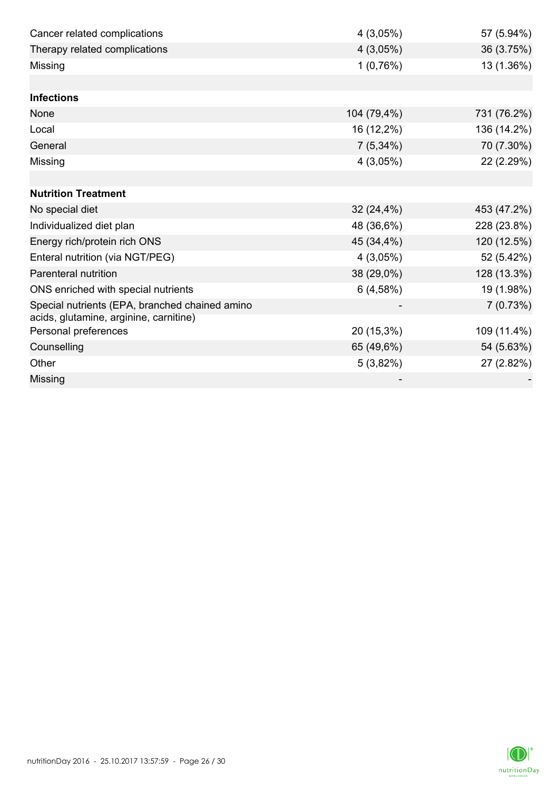| Cancer related complications                                                             | 4(3,05%)    | 57 (5.94%)  |
|------------------------------------------------------------------------------------------|-------------|-------------|
| Therapy related complications                                                            | 4(3,05%)    | 36 (3.75%)  |
| Missing                                                                                  | 1(0,76%)    | 13 (1.36%)  |
|                                                                                          |             |             |
| <b>Infections</b>                                                                        |             |             |
| None                                                                                     | 104 (79,4%) | 731 (76.2%) |
| Local                                                                                    | 16 (12,2%)  | 136 (14.2%) |
| General                                                                                  | $7(5,34\%)$ | 70 (7.30%)  |
| Missing                                                                                  | 4(3,05%)    | 22 (2.29%)  |
|                                                                                          |             |             |
| <b>Nutrition Treatment</b>                                                               |             |             |
| No special diet                                                                          | 32 (24,4%)  | 453 (47.2%) |
| Individualized diet plan                                                                 | 48 (36,6%)  | 228 (23.8%) |
| Energy rich/protein rich ONS                                                             | 45 (34,4%)  | 120 (12.5%) |
| Enteral nutrition (via NGT/PEG)                                                          | 4(3,05%)    | 52 (5.42%)  |
| <b>Parenteral nutrition</b>                                                              | 38 (29,0%)  | 128 (13.3%) |
| ONS enriched with special nutrients                                                      | 6(4,58%)    | 19 (1.98%)  |
| Special nutrients (EPA, branched chained amino<br>acids, glutamine, arginine, carnitine) |             | 7(0.73%)    |
| Personal preferences                                                                     | 20 (15,3%)  | 109 (11.4%) |
| Counselling                                                                              | 65 (49,6%)  | 54 (5.63%)  |
| Other                                                                                    | 5(3,82%)    | 27 (2.82%)  |
| Missing                                                                                  |             |             |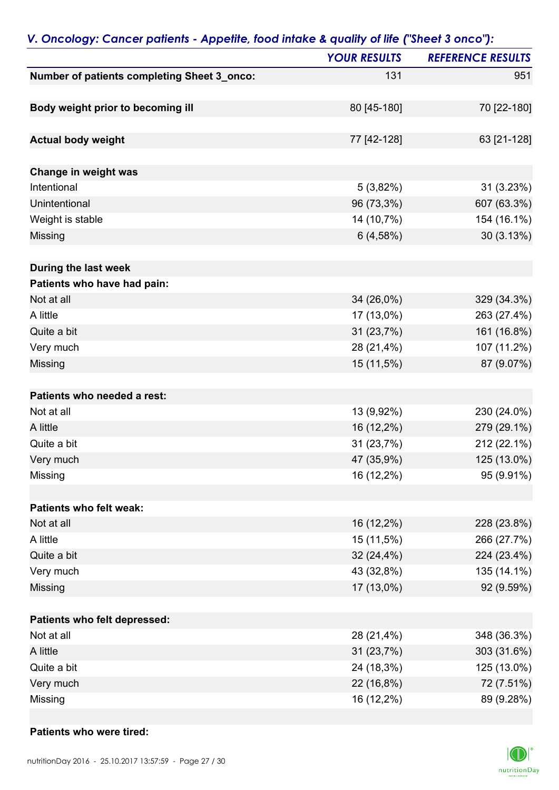| P                                           | <b>YOUR RESULTS</b> | <b>REFERENCE RESULTS</b> |
|---------------------------------------------|---------------------|--------------------------|
| Number of patients completing Sheet 3_onco: | 131                 | 951                      |
|                                             |                     |                          |
| Body weight prior to becoming ill           | 80 [45-180]         | 70 [22-180]              |
|                                             |                     |                          |
| <b>Actual body weight</b>                   | 77 [42-128]         | 63 [21-128]              |
|                                             |                     |                          |
| Change in weight was                        |                     |                          |
| Intentional                                 | 5(3,82%)            | 31 (3.23%)               |
| Unintentional                               | 96 (73,3%)          | 607 (63.3%)              |
| Weight is stable                            | 14 (10,7%)          | 154 (16.1%)              |
| <b>Missing</b>                              | 6(4,58%)            | 30 (3.13%)               |
|                                             |                     |                          |
| During the last week                        |                     |                          |
| Patients who have had pain:                 |                     |                          |
| Not at all                                  | 34 (26,0%)          | 329 (34.3%)              |
| A little                                    | 17 (13,0%)          | 263 (27.4%)              |
| Quite a bit                                 | 31 (23,7%)          | 161 (16.8%)              |
| Very much                                   | 28 (21,4%)          | 107 (11.2%)              |
| <b>Missing</b>                              | 15 (11,5%)          | 87 (9.07%)               |
|                                             |                     |                          |
| Patients who needed a rest:                 |                     |                          |
| Not at all                                  | 13 (9,92%)          | 230 (24.0%)              |
| A little                                    | 16 (12,2%)          | 279 (29.1%)              |
| Quite a bit                                 | 31 (23,7%)          | 212 (22.1%)              |
| Very much                                   | 47 (35,9%)          | 125 (13.0%)              |
| Missing                                     | 16 (12,2%)          | 95 (9.91%)               |
|                                             |                     |                          |
| Patients who felt weak:                     |                     |                          |
| Not at all                                  | 16 (12,2%)          | 228 (23.8%)              |
| A little                                    | 15 (11,5%)          | 266 (27.7%)              |
| Quite a bit                                 | 32(24,4%)           | 224 (23.4%)              |
| Very much                                   | 43 (32,8%)          | 135 (14.1%)              |
| Missing                                     | 17 (13,0%)          | 92 (9.59%)               |
|                                             |                     |                          |
| Patients who felt depressed:                |                     |                          |
| Not at all                                  | 28 (21,4%)          | 348 (36.3%)              |
| A little                                    | 31 (23,7%)          | 303 (31.6%)              |
| Quite a bit                                 | 24 (18,3%)          | 125 (13.0%)              |
| Very much                                   | 22 (16,8%)          | 72 (7.51%)               |
| Missing                                     | 16 (12,2%)          | 89 (9.28%)               |

### *V. Oncology: Cancer patients - Appetite, food intake & quality of life ("Sheet 3 onco"):*

#### **Patients who were tired:**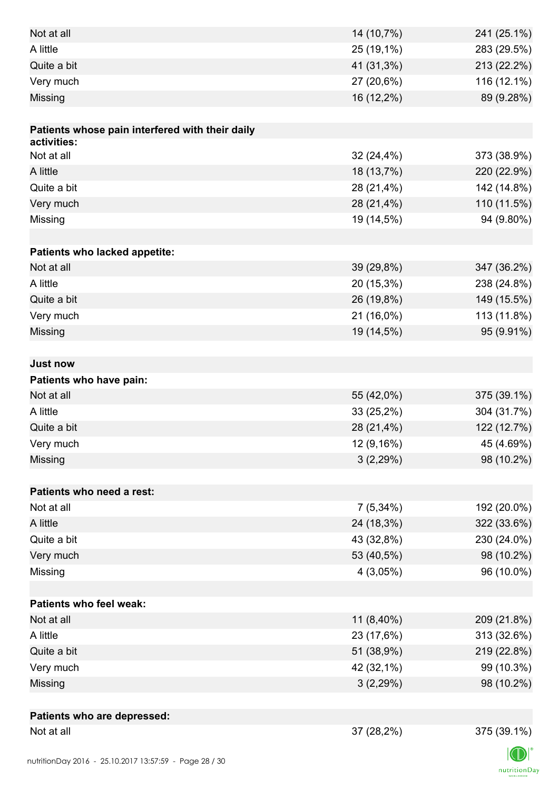| Not at all                                      | 14 (10,7%)  | 241 (25.1%) |
|-------------------------------------------------|-------------|-------------|
| A little                                        | 25 (19,1%)  | 283 (29.5%) |
| Quite a bit                                     | 41 (31,3%)  | 213 (22.2%) |
| Very much                                       | 27 (20,6%)  | 116 (12.1%) |
| Missing                                         | 16 (12,2%)  | 89 (9.28%)  |
|                                                 |             |             |
| Patients whose pain interfered with their daily |             |             |
| activities:                                     |             |             |
| Not at all                                      | 32 (24,4%)  | 373 (38.9%) |
| A little                                        | 18 (13,7%)  | 220 (22.9%) |
| Quite a bit                                     | 28 (21,4%)  | 142 (14.8%) |
| Very much                                       | 28 (21,4%)  | 110 (11.5%) |
| Missing                                         | 19 (14,5%)  | 94 (9.80%)  |
|                                                 |             |             |
| Patients who lacked appetite:                   |             |             |
| Not at all                                      | 39 (29,8%)  | 347 (36.2%) |
| A little                                        | 20 (15,3%)  | 238 (24.8%) |
| Quite a bit                                     | 26 (19,8%)  | 149 (15.5%) |
| Very much                                       | 21 (16,0%)  | 113 (11.8%) |
| Missing                                         | 19 (14,5%)  | 95 (9.91%)  |
|                                                 |             |             |
| <b>Just now</b>                                 |             |             |
| Patients who have pain:                         |             |             |
| Not at all                                      | 55 (42,0%)  | 375 (39.1%) |
| A little                                        | 33 (25,2%)  | 304 (31.7%) |
| Quite a bit                                     | 28 (21,4%)  | 122 (12.7%) |
| Very much                                       | 12 (9,16%)  | 45 (4.69%)  |
| Missing                                         | 3(2,29%)    | 98 (10.2%)  |
|                                                 |             |             |
| Patients who need a rest:                       |             |             |
| Not at all                                      | $7(5,34\%)$ | 192 (20.0%) |
| A little                                        | 24 (18,3%)  | 322 (33.6%) |
| Quite a bit                                     | 43 (32,8%)  | 230 (24.0%) |
| Very much                                       | 53 (40,5%)  | 98 (10.2%)  |
| Missing                                         | $4(3,05\%)$ | 96 (10.0%)  |
|                                                 |             |             |
| <b>Patients who feel weak:</b>                  |             |             |
| Not at all                                      | 11 (8,40%)  | 209 (21.8%) |
| A little                                        | 23 (17,6%)  | 313 (32.6%) |
| Quite a bit                                     | 51 (38,9%)  | 219 (22.8%) |
| Very much                                       | 42 (32,1%)  | 99 (10.3%)  |
| Missing                                         | 3(2,29%)    | 98 (10.2%)  |
|                                                 |             |             |
| Patients who are depressed:                     |             |             |
| Not at all                                      | 37 (28,2%)  | 375 (39.1%) |
|                                                 |             |             |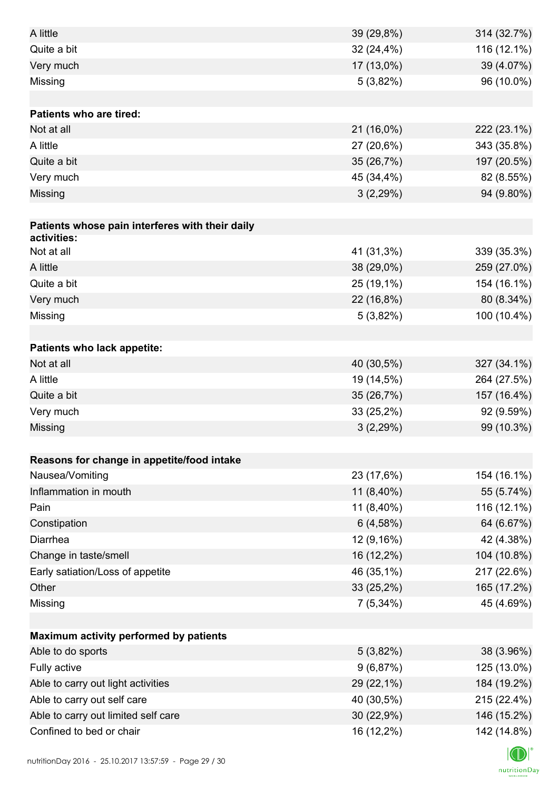| A little                                        | 39 (29,8%)  | 314 (32.7%) |
|-------------------------------------------------|-------------|-------------|
| Quite a bit                                     | 32 (24,4%)  | 116 (12.1%) |
| Very much                                       | 17 (13,0%)  | 39 (4.07%)  |
| Missing                                         | $5(3,82\%)$ | 96 (10.0%)  |
|                                                 |             |             |
| <b>Patients who are tired:</b>                  |             |             |
| Not at all                                      | 21 (16,0%)  | 222 (23.1%) |
| A little                                        | 27 (20,6%)  | 343 (35.8%) |
| Quite a bit                                     | 35 (26,7%)  | 197 (20.5%) |
| Very much                                       | 45 (34,4%)  | 82 (8.55%)  |
| Missing                                         | 3(2,29%)    | 94 (9.80%)  |
|                                                 |             |             |
| Patients whose pain interferes with their daily |             |             |
| activities:                                     |             |             |
| Not at all                                      | 41 (31,3%)  | 339 (35.3%) |
| A little                                        | 38 (29,0%)  | 259 (27.0%) |
| Quite a bit                                     | 25 (19,1%)  | 154 (16.1%) |
| Very much                                       | 22 (16,8%)  | 80 (8.34%)  |
| Missing                                         | 5(3,82%)    | 100 (10.4%) |
|                                                 |             |             |
| Patients who lack appetite:                     |             |             |
| Not at all                                      | 40 (30,5%)  | 327 (34.1%) |
| A little                                        | 19 (14,5%)  | 264 (27.5%) |
| Quite a bit                                     | 35 (26,7%)  | 157 (16.4%) |
| Very much                                       | 33 (25,2%)  | 92 (9.59%)  |
| Missing                                         | 3(2,29%)    | 99 (10.3%)  |
|                                                 |             |             |
| Reasons for change in appetite/food intake      |             |             |
| Nausea/Vomiting                                 | 23 (17,6%)  | 154 (16.1%) |
| Inflammation in mouth                           | 11 (8,40%)  | 55 (5.74%)  |
| Pain                                            | 11 (8,40%)  | 116 (12.1%) |
| Constipation                                    | 6(4,58%)    | 64 (6.67%)  |
| Diarrhea                                        | 12 (9,16%)  | 42 (4.38%)  |
| Change in taste/smell                           | 16 (12,2%)  | 104 (10.8%) |
| Early satiation/Loss of appetite                | 46 (35,1%)  | 217 (22.6%) |
| Other                                           | 33 (25,2%)  | 165 (17.2%) |
| Missing                                         | $7(5,34\%)$ | 45 (4.69%)  |
|                                                 |             |             |
| Maximum activity performed by patients          |             |             |
| Able to do sports                               | $5(3,82\%)$ | 38 (3.96%)  |
| Fully active                                    | 9(6,87%)    | 125 (13.0%) |
| Able to carry out light activities              | 29 (22,1%)  | 184 (19.2%) |
| Able to carry out self care                     | 40 (30,5%)  | 215 (22.4%) |
| Able to carry out limited self care             | 30 (22,9%)  | 146 (15.2%) |
| Confined to bed or chair                        | 16 (12,2%)  | 142 (14.8%) |